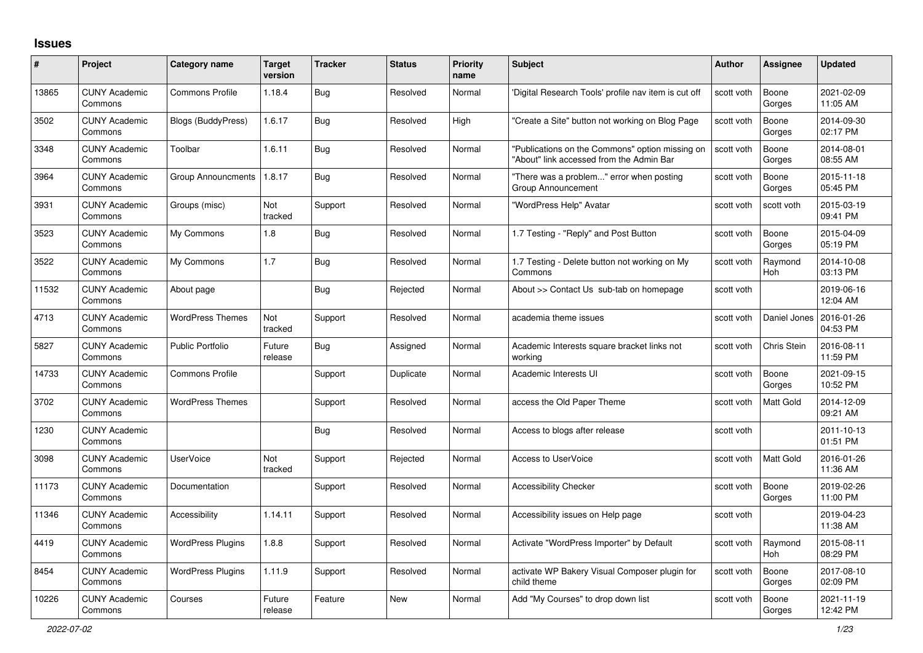## **Issues**

| $\#$  | Project                         | Category name            | <b>Target</b><br>version | <b>Tracker</b> | <b>Status</b> | <b>Priority</b><br>name | <b>Subject</b>                                                                              | <b>Author</b> | Assignee              | <b>Updated</b>         |
|-------|---------------------------------|--------------------------|--------------------------|----------------|---------------|-------------------------|---------------------------------------------------------------------------------------------|---------------|-----------------------|------------------------|
| 13865 | <b>CUNY Academic</b><br>Commons | <b>Commons Profile</b>   | 1.18.4                   | Bug            | Resolved      | Normal                  | 'Digital Research Tools' profile nav item is cut off                                        | scott voth    | Boone<br>Gorges       | 2021-02-09<br>11:05 AM |
| 3502  | <b>CUNY Academic</b><br>Commons | Blogs (BuddyPress)       | 1.6.17                   | Bug            | Resolved      | High                    | "Create a Site" button not working on Blog Page                                             | scott voth    | Boone<br>Gorges       | 2014-09-30<br>02:17 PM |
| 3348  | <b>CUNY Academic</b><br>Commons | Toolbar                  | 1.6.11                   | <b>Bug</b>     | Resolved      | Normal                  | "Publications on the Commons" option missing on<br>"About" link accessed from the Admin Bar | scott voth    | Boone<br>Gorges       | 2014-08-01<br>08:55 AM |
| 3964  | <b>CUNY Academic</b><br>Commons | Group Announcments       | 1.8.17                   | <b>Bug</b>     | Resolved      | Normal                  | "There was a problem" error when posting<br>Group Announcement                              | scott voth    | Boone<br>Gorges       | 2015-11-18<br>05:45 PM |
| 3931  | <b>CUNY Academic</b><br>Commons | Groups (misc)            | Not<br>tracked           | Support        | Resolved      | Normal                  | "WordPress Help" Avatar                                                                     | scott voth    | scott voth            | 2015-03-19<br>09:41 PM |
| 3523  | <b>CUNY Academic</b><br>Commons | My Commons               | 1.8                      | <b>Bug</b>     | Resolved      | Normal                  | 1.7 Testing - "Reply" and Post Button                                                       | scott voth    | Boone<br>Gorges       | 2015-04-09<br>05:19 PM |
| 3522  | <b>CUNY Academic</b><br>Commons | My Commons               | 1.7                      | Bug            | Resolved      | Normal                  | 1.7 Testing - Delete button not working on My<br>Commons                                    | scott voth    | Raymond<br>Hoh        | 2014-10-08<br>03:13 PM |
| 11532 | <b>CUNY Academic</b><br>Commons | About page               |                          | <b>Bug</b>     | Rejected      | Normal                  | About >> Contact Us sub-tab on homepage                                                     | scott voth    |                       | 2019-06-16<br>12:04 AM |
| 4713  | <b>CUNY Academic</b><br>Commons | <b>WordPress Themes</b>  | Not<br>tracked           | Support        | Resolved      | Normal                  | academia theme issues                                                                       | scott voth    | Daniel Jones          | 2016-01-26<br>04:53 PM |
| 5827  | <b>CUNY Academic</b><br>Commons | <b>Public Portfolio</b>  | Future<br>release        | <b>Bug</b>     | Assigned      | Normal                  | Academic Interests square bracket links not<br>working                                      | scott voth    | Chris Stein           | 2016-08-11<br>11:59 PM |
| 14733 | <b>CUNY Academic</b><br>Commons | Commons Profile          |                          | Support        | Duplicate     | Normal                  | Academic Interests UI                                                                       | scott voth    | Boone<br>Gorges       | 2021-09-15<br>10:52 PM |
| 3702  | <b>CUNY Academic</b><br>Commons | <b>WordPress Themes</b>  |                          | Support        | Resolved      | Normal                  | access the Old Paper Theme                                                                  | scott voth    | Matt Gold             | 2014-12-09<br>09:21 AM |
| 1230  | <b>CUNY Academic</b><br>Commons |                          |                          | <b>Bug</b>     | Resolved      | Normal                  | Access to blogs after release                                                               | scott voth    |                       | 2011-10-13<br>01:51 PM |
| 3098  | <b>CUNY Academic</b><br>Commons | <b>UserVoice</b>         | Not<br>tracked           | Support        | Rejected      | Normal                  | <b>Access to UserVoice</b>                                                                  | scott voth    | <b>Matt Gold</b>      | 2016-01-26<br>11:36 AM |
| 11173 | <b>CUNY Academic</b><br>Commons | Documentation            |                          | Support        | Resolved      | Normal                  | <b>Accessibility Checker</b>                                                                | scott voth    | Boone<br>Gorges       | 2019-02-26<br>11:00 PM |
| 11346 | <b>CUNY Academic</b><br>Commons | <b>Accessibility</b>     | 1.14.11                  | Support        | Resolved      | Normal                  | Accessibility issues on Help page                                                           | scott voth    |                       | 2019-04-23<br>11:38 AM |
| 4419  | <b>CUNY Academic</b><br>Commons | <b>WordPress Plugins</b> | 1.8.8                    | Support        | Resolved      | Normal                  | Activate "WordPress Importer" by Default                                                    | scott voth    | Raymond<br><b>Hoh</b> | 2015-08-11<br>08:29 PM |
| 8454  | <b>CUNY Academic</b><br>Commons | <b>WordPress Plugins</b> | 1.11.9                   | Support        | Resolved      | Normal                  | activate WP Bakery Visual Composer plugin for<br>child theme                                | scott voth    | Boone<br>Gorges       | 2017-08-10<br>02:09 PM |
| 10226 | <b>CUNY Academic</b><br>Commons | Courses                  | Future<br>release        | Feature        | <b>New</b>    | Normal                  | Add "My Courses" to drop down list                                                          | scott voth    | Boone<br>Gorges       | 2021-11-19<br>12:42 PM |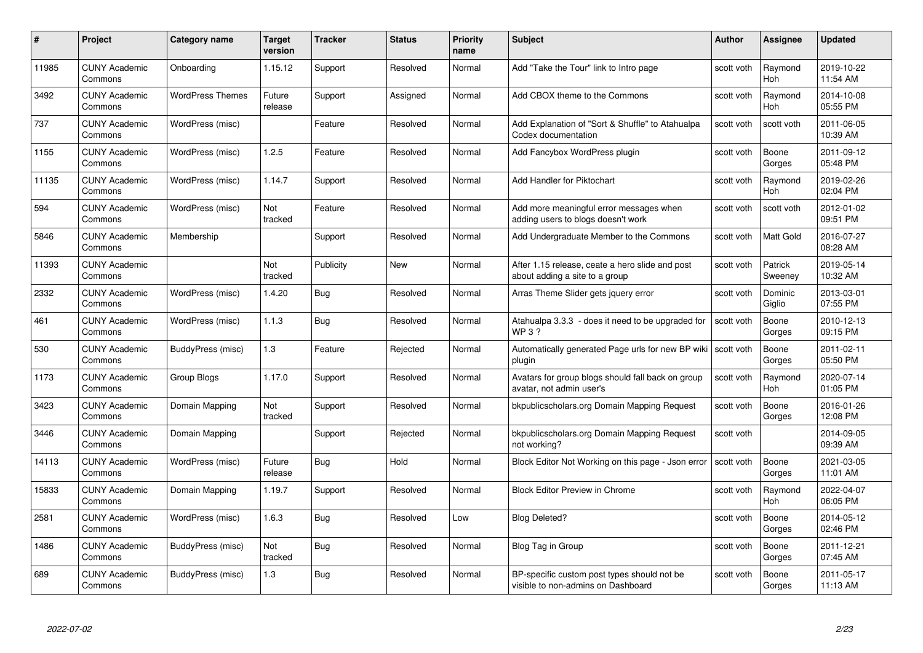| #     | Project                         | <b>Category name</b>    | Target<br>version | <b>Tracker</b> | <b>Status</b> | <b>Priority</b><br>name | <b>Subject</b>                                                                    | <b>Author</b> | Assignee              | <b>Updated</b>         |
|-------|---------------------------------|-------------------------|-------------------|----------------|---------------|-------------------------|-----------------------------------------------------------------------------------|---------------|-----------------------|------------------------|
| 11985 | <b>CUNY Academic</b><br>Commons | Onboarding              | 1.15.12           | Support        | Resolved      | Normal                  | Add "Take the Tour" link to Intro page                                            | scott voth    | Raymond<br><b>Hoh</b> | 2019-10-22<br>11:54 AM |
| 3492  | <b>CUNY Academic</b><br>Commons | <b>WordPress Themes</b> | Future<br>release | Support        | Assigned      | Normal                  | Add CBOX theme to the Commons                                                     | scott voth    | Raymond<br><b>Hoh</b> | 2014-10-08<br>05:55 PM |
| 737   | <b>CUNY Academic</b><br>Commons | WordPress (misc)        |                   | Feature        | Resolved      | Normal                  | Add Explanation of "Sort & Shuffle" to Atahualpa<br>Codex documentation           | scott voth    | scott voth            | 2011-06-05<br>10:39 AM |
| 1155  | <b>CUNY Academic</b><br>Commons | WordPress (misc)        | 1.2.5             | Feature        | Resolved      | Normal                  | Add Fancybox WordPress plugin                                                     | scott voth    | Boone<br>Gorges       | 2011-09-12<br>05:48 PM |
| 11135 | <b>CUNY Academic</b><br>Commons | WordPress (misc)        | 1.14.7            | Support        | Resolved      | Normal                  | Add Handler for Piktochart                                                        | scott voth    | Raymond<br>Hoh        | 2019-02-26<br>02:04 PM |
| 594   | <b>CUNY Academic</b><br>Commons | WordPress (misc)        | Not<br>tracked    | Feature        | Resolved      | Normal                  | Add more meaningful error messages when<br>adding users to blogs doesn't work     | scott voth    | scott voth            | 2012-01-02<br>09:51 PM |
| 5846  | <b>CUNY Academic</b><br>Commons | Membership              |                   | Support        | Resolved      | Normal                  | Add Undergraduate Member to the Commons                                           | scott voth    | Matt Gold             | 2016-07-27<br>08:28 AM |
| 11393 | <b>CUNY Academic</b><br>Commons |                         | Not<br>tracked    | Publicity      | <b>New</b>    | Normal                  | After 1.15 release, ceate a hero slide and post<br>about adding a site to a group | scott voth    | Patrick<br>Sweeney    | 2019-05-14<br>10:32 AM |
| 2332  | <b>CUNY Academic</b><br>Commons | WordPress (misc)        | 1.4.20            | Bug            | Resolved      | Normal                  | Arras Theme Slider gets jquery error                                              | scott voth    | Dominic<br>Giglio     | 2013-03-01<br>07:55 PM |
| 461   | <b>CUNY Academic</b><br>Commons | WordPress (misc)        | 1.1.3             | <b>Bug</b>     | Resolved      | Normal                  | Atahualpa 3.3.3 - does it need to be upgraded for<br><b>WP3?</b>                  | scott voth    | Boone<br>Gorges       | 2010-12-13<br>09:15 PM |
| 530   | <b>CUNY Academic</b><br>Commons | BuddyPress (misc)       | 1.3               | Feature        | Rejected      | Normal                  | Automatically generated Page urls for new BP wiki<br>plugin                       | scott voth    | Boone<br>Gorges       | 2011-02-11<br>05:50 PM |
| 1173  | <b>CUNY Academic</b><br>Commons | Group Blogs             | 1.17.0            | Support        | Resolved      | Normal                  | Avatars for group blogs should fall back on group<br>avatar, not admin user's     | scott voth    | Raymond<br><b>Hoh</b> | 2020-07-14<br>01:05 PM |
| 3423  | <b>CUNY Academic</b><br>Commons | Domain Mapping          | Not<br>tracked    | Support        | Resolved      | Normal                  | bkpublicscholars.org Domain Mapping Request                                       | scott voth    | Boone<br>Gorges       | 2016-01-26<br>12:08 PM |
| 3446  | <b>CUNY Academic</b><br>Commons | Domain Mapping          |                   | Support        | Rejected      | Normal                  | bkpublicscholars.org Domain Mapping Request<br>not working?                       | scott voth    |                       | 2014-09-05<br>09:39 AM |
| 14113 | <b>CUNY Academic</b><br>Commons | WordPress (misc)        | Future<br>release | <b>Bug</b>     | Hold          | Normal                  | Block Editor Not Working on this page - Json error                                | scott voth    | Boone<br>Gorges       | 2021-03-05<br>11:01 AM |
| 15833 | <b>CUNY Academic</b><br>Commons | Domain Mapping          | 1.19.7            | Support        | Resolved      | Normal                  | <b>Block Editor Preview in Chrome</b>                                             | scott voth    | Raymond<br><b>Hoh</b> | 2022-04-07<br>06:05 PM |
| 2581  | <b>CUNY Academic</b><br>Commons | WordPress (misc)        | 1.6.3             | <b>Bug</b>     | Resolved      | Low                     | <b>Blog Deleted?</b>                                                              | scott voth    | Boone<br>Gorges       | 2014-05-12<br>02:46 PM |
| 1486  | <b>CUNY Academic</b><br>Commons | BuddyPress (misc)       | Not<br>tracked    | <b>Bug</b>     | Resolved      | Normal                  | Blog Tag in Group                                                                 | scott voth    | Boone<br>Gorges       | 2011-12-21<br>07:45 AM |
| 689   | <b>CUNY Academic</b><br>Commons | BuddyPress (misc)       | 1.3               | <b>Bug</b>     | Resolved      | Normal                  | BP-specific custom post types should not be<br>visible to non-admins on Dashboard | scott voth    | Boone<br>Gorges       | 2011-05-17<br>11:13 AM |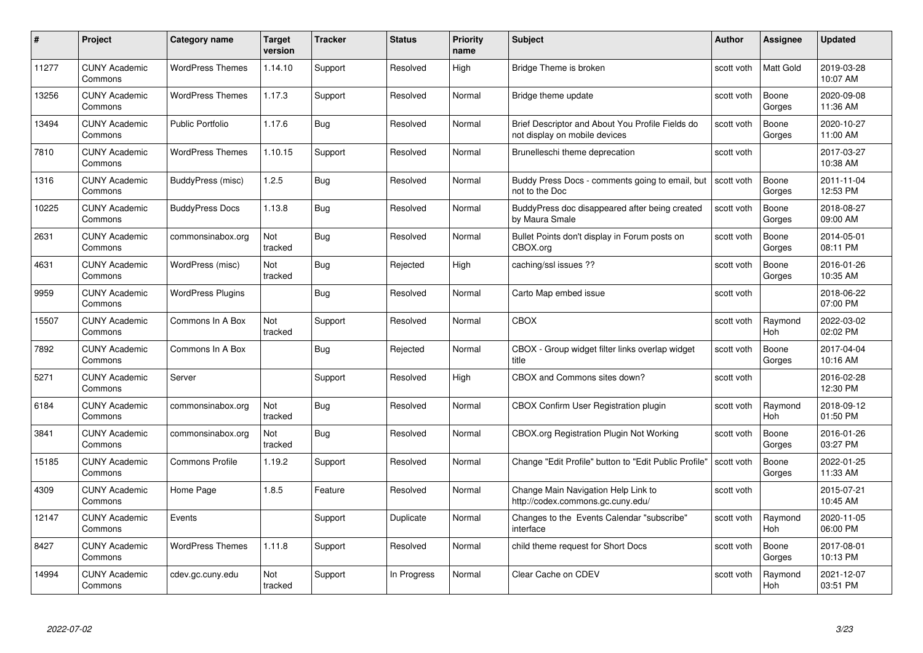| #     | Project                         | Category name            | Target<br>version | <b>Tracker</b> | <b>Status</b> | <b>Priority</b><br>name | <b>Subject</b>                                                                    | Author     | Assignee              | <b>Updated</b>         |
|-------|---------------------------------|--------------------------|-------------------|----------------|---------------|-------------------------|-----------------------------------------------------------------------------------|------------|-----------------------|------------------------|
| 11277 | <b>CUNY Academic</b><br>Commons | <b>WordPress Themes</b>  | 1.14.10           | Support        | Resolved      | High                    | Bridge Theme is broken                                                            | scott voth | <b>Matt Gold</b>      | 2019-03-28<br>10:07 AM |
| 13256 | <b>CUNY Academic</b><br>Commons | <b>WordPress Themes</b>  | 1.17.3            | Support        | Resolved      | Normal                  | Bridge theme update                                                               | scott voth | Boone<br>Gorges       | 2020-09-08<br>11:36 AM |
| 13494 | <b>CUNY Academic</b><br>Commons | <b>Public Portfolio</b>  | 1.17.6            | <b>Bug</b>     | Resolved      | Normal                  | Brief Descriptor and About You Profile Fields do<br>not display on mobile devices | scott voth | Boone<br>Gorges       | 2020-10-27<br>11:00 AM |
| 7810  | <b>CUNY Academic</b><br>Commons | <b>WordPress Themes</b>  | 1.10.15           | Support        | Resolved      | Normal                  | Brunelleschi theme deprecation                                                    | scott voth |                       | 2017-03-27<br>10:38 AM |
| 1316  | <b>CUNY Academic</b><br>Commons | BuddyPress (misc)        | 1.2.5             | <b>Bug</b>     | Resolved      | Normal                  | Buddy Press Docs - comments going to email, but<br>not to the Doc                 | scott voth | Boone<br>Gorges       | 2011-11-04<br>12:53 PM |
| 10225 | <b>CUNY Academic</b><br>Commons | <b>BuddyPress Docs</b>   | 1.13.8            | Bug            | Resolved      | Normal                  | BuddyPress doc disappeared after being created<br>by Maura Smale                  | scott voth | Boone<br>Gorges       | 2018-08-27<br>09:00 AM |
| 2631  | <b>CUNY Academic</b><br>Commons | commonsinabox.org        | Not<br>tracked    | Bug            | Resolved      | Normal                  | Bullet Points don't display in Forum posts on<br>CBOX.org                         | scott voth | Boone<br>Gorges       | 2014-05-01<br>08:11 PM |
| 4631  | <b>CUNY Academic</b><br>Commons | WordPress (misc)         | Not<br>tracked    | Bug            | Rejected      | High                    | caching/ssl issues ??                                                             | scott voth | Boone<br>Gorges       | 2016-01-26<br>10:35 AM |
| 9959  | <b>CUNY Academic</b><br>Commons | <b>WordPress Plugins</b> |                   | Bug            | Resolved      | Normal                  | Carto Map embed issue                                                             | scott voth |                       | 2018-06-22<br>07:00 PM |
| 15507 | <b>CUNY Academic</b><br>Commons | Commons In A Box         | Not<br>tracked    | Support        | Resolved      | Normal                  | <b>CBOX</b>                                                                       | scott voth | Raymond<br><b>Hoh</b> | 2022-03-02<br>02:02 PM |
| 7892  | <b>CUNY Academic</b><br>Commons | Commons In A Box         |                   | Bug            | Rejected      | Normal                  | CBOX - Group widget filter links overlap widget<br>title                          | scott voth | Boone<br>Gorges       | 2017-04-04<br>10:16 AM |
| 5271  | <b>CUNY Academic</b><br>Commons | Server                   |                   | Support        | Resolved      | High                    | CBOX and Commons sites down?                                                      | scott voth |                       | 2016-02-28<br>12:30 PM |
| 6184  | <b>CUNY Academic</b><br>Commons | commonsinabox.org        | Not<br>tracked    | Bug            | Resolved      | Normal                  | <b>CBOX Confirm User Registration plugin</b>                                      | scott voth | Raymond<br>Hoh        | 2018-09-12<br>01:50 PM |
| 3841  | <b>CUNY Academic</b><br>Commons | commonsinabox.org        | Not<br>tracked    | <b>Bug</b>     | Resolved      | Normal                  | CBOX.org Registration Plugin Not Working                                          | scott voth | Boone<br>Gorges       | 2016-01-26<br>03:27 PM |
| 15185 | <b>CUNY Academic</b><br>Commons | <b>Commons Profile</b>   | 1.19.2            | Support        | Resolved      | Normal                  | Change "Edit Profile" button to "Edit Public Profile"                             | scott voth | Boone<br>Gorges       | 2022-01-25<br>11:33 AM |
| 4309  | <b>CUNY Academic</b><br>Commons | Home Page                | 1.8.5             | Feature        | Resolved      | Normal                  | Change Main Navigation Help Link to<br>http://codex.commons.gc.cuny.edu/          | scott voth |                       | 2015-07-21<br>10:45 AM |
| 12147 | <b>CUNY Academic</b><br>Commons | Events                   |                   | Support        | Duplicate     | Normal                  | Changes to the Events Calendar "subscribe"<br>interface                           | scott voth | Raymond<br><b>Hoh</b> | 2020-11-05<br>06:00 PM |
| 8427  | <b>CUNY Academic</b><br>Commons | <b>WordPress Themes</b>  | 1.11.8            | Support        | Resolved      | Normal                  | child theme request for Short Docs                                                | scott voth | Boone<br>Gorges       | 2017-08-01<br>10:13 PM |
| 14994 | <b>CUNY Academic</b><br>Commons | cdev.gc.cuny.edu         | Not<br>tracked    | Support        | In Progress   | Normal                  | Clear Cache on CDEV                                                               | scott voth | Raymond<br>Hoh        | 2021-12-07<br>03:51 PM |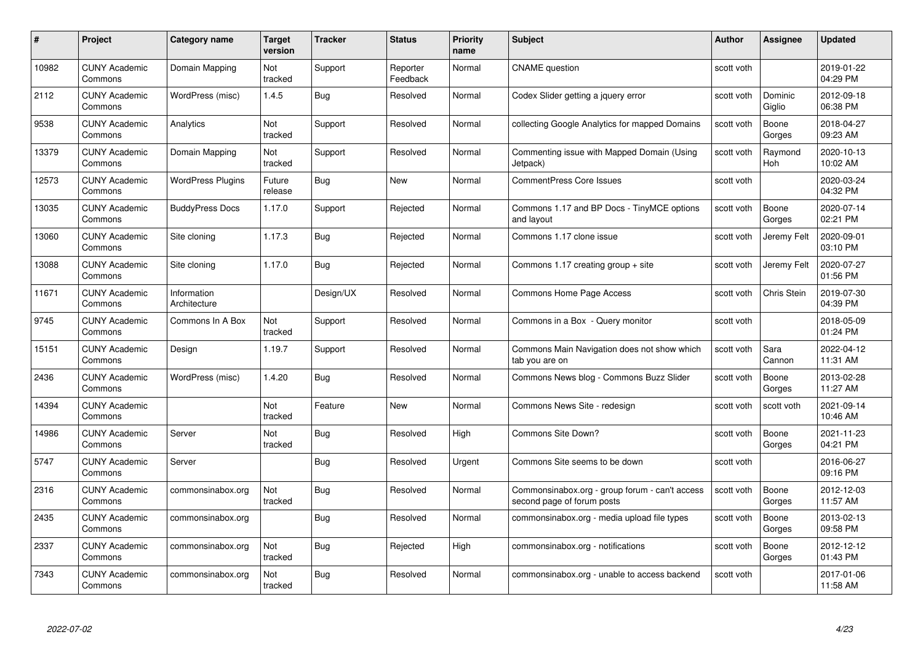| #     | Project                         | <b>Category name</b>        | Target<br>version | <b>Tracker</b> | <b>Status</b>        | <b>Priority</b><br>name | <b>Subject</b>                                                               | <b>Author</b> | Assignee              | <b>Updated</b>         |
|-------|---------------------------------|-----------------------------|-------------------|----------------|----------------------|-------------------------|------------------------------------------------------------------------------|---------------|-----------------------|------------------------|
| 10982 | <b>CUNY Academic</b><br>Commons | Domain Mapping              | Not<br>tracked    | Support        | Reporter<br>Feedback | Normal                  | <b>CNAME</b> question                                                        | scott voth    |                       | 2019-01-22<br>04:29 PM |
| 2112  | <b>CUNY Academic</b><br>Commons | WordPress (misc)            | 1.4.5             | Bug            | Resolved             | Normal                  | Codex Slider getting a jquery error                                          | scott voth    | Dominic<br>Giglio     | 2012-09-18<br>06:38 PM |
| 9538  | <b>CUNY Academic</b><br>Commons | Analytics                   | Not<br>tracked    | Support        | Resolved             | Normal                  | collecting Google Analytics for mapped Domains                               | scott voth    | Boone<br>Gorges       | 2018-04-27<br>09:23 AM |
| 13379 | <b>CUNY Academic</b><br>Commons | Domain Mapping              | Not<br>tracked    | Support        | Resolved             | Normal                  | Commenting issue with Mapped Domain (Using<br>Jetpack)                       | scott voth    | Raymond<br><b>Hoh</b> | 2020-10-13<br>10:02 AM |
| 12573 | <b>CUNY Academic</b><br>Commons | <b>WordPress Plugins</b>    | Future<br>release | <b>Bug</b>     | <b>New</b>           | Normal                  | <b>CommentPress Core Issues</b>                                              | scott voth    |                       | 2020-03-24<br>04:32 PM |
| 13035 | <b>CUNY Academic</b><br>Commons | <b>BuddyPress Docs</b>      | 1.17.0            | Support        | Rejected             | Normal                  | Commons 1.17 and BP Docs - TinyMCE options<br>and layout                     | scott voth    | Boone<br>Gorges       | 2020-07-14<br>02:21 PM |
| 13060 | <b>CUNY Academic</b><br>Commons | Site cloning                | 1.17.3            | <b>Bug</b>     | Rejected             | Normal                  | Commons 1.17 clone issue                                                     | scott voth    | Jeremy Felt           | 2020-09-01<br>03:10 PM |
| 13088 | <b>CUNY Academic</b><br>Commons | Site cloning                | 1.17.0            | Bug            | Rejected             | Normal                  | Commons 1.17 creating group + site                                           | scott voth    | Jeremy Felt           | 2020-07-27<br>01:56 PM |
| 11671 | <b>CUNY Academic</b><br>Commons | Information<br>Architecture |                   | Design/UX      | Resolved             | Normal                  | Commons Home Page Access                                                     | scott voth    | Chris Stein           | 2019-07-30<br>04:39 PM |
| 9745  | <b>CUNY Academic</b><br>Commons | Commons In A Box            | Not<br>tracked    | Support        | Resolved             | Normal                  | Commons in a Box - Query monitor                                             | scott voth    |                       | 2018-05-09<br>01:24 PM |
| 15151 | <b>CUNY Academic</b><br>Commons | Design                      | 1.19.7            | Support        | Resolved             | Normal                  | Commons Main Navigation does not show which<br>tab you are on                | scott voth    | Sara<br>Cannon        | 2022-04-12<br>11:31 AM |
| 2436  | <b>CUNY Academic</b><br>Commons | WordPress (misc)            | 1.4.20            | Bug            | Resolved             | Normal                  | Commons News blog - Commons Buzz Slider                                      | scott voth    | Boone<br>Gorges       | 2013-02-28<br>11:27 AM |
| 14394 | <b>CUNY Academic</b><br>Commons |                             | Not<br>tracked    | Feature        | New                  | Normal                  | Commons News Site - redesign                                                 | scott voth    | scott voth            | 2021-09-14<br>10:46 AM |
| 14986 | <b>CUNY Academic</b><br>Commons | Server                      | Not<br>tracked    | <b>Bug</b>     | Resolved             | High                    | Commons Site Down?                                                           | scott voth    | Boone<br>Gorges       | 2021-11-23<br>04:21 PM |
| 5747  | <b>CUNY Academic</b><br>Commons | Server                      |                   | Bug            | Resolved             | Urgent                  | Commons Site seems to be down                                                | scott voth    |                       | 2016-06-27<br>09:16 PM |
| 2316  | <b>CUNY Academic</b><br>Commons | commonsinabox.org           | Not<br>tracked    | Bug            | Resolved             | Normal                  | Commonsinabox.org - group forum - can't access<br>second page of forum posts | scott voth    | Boone<br>Gorges       | 2012-12-03<br>11:57 AM |
| 2435  | <b>CUNY Academic</b><br>Commons | commonsinabox.org           |                   | Bug            | Resolved             | Normal                  | commonsinabox.org - media upload file types                                  | scott voth    | Boone<br>Gorges       | 2013-02-13<br>09:58 PM |
| 2337  | <b>CUNY Academic</b><br>Commons | commonsinabox.org           | Not<br>tracked    | Bug            | Rejected             | High                    | commonsinabox.org - notifications                                            | scott voth    | Boone<br>Gorges       | 2012-12-12<br>01:43 PM |
| 7343  | CUNY Academic<br>Commons        | commonsinabox.org           | Not<br>tracked    | <b>Bug</b>     | Resolved             | Normal                  | commonsinabox.org - unable to access backend                                 | scott voth    |                       | 2017-01-06<br>11:58 AM |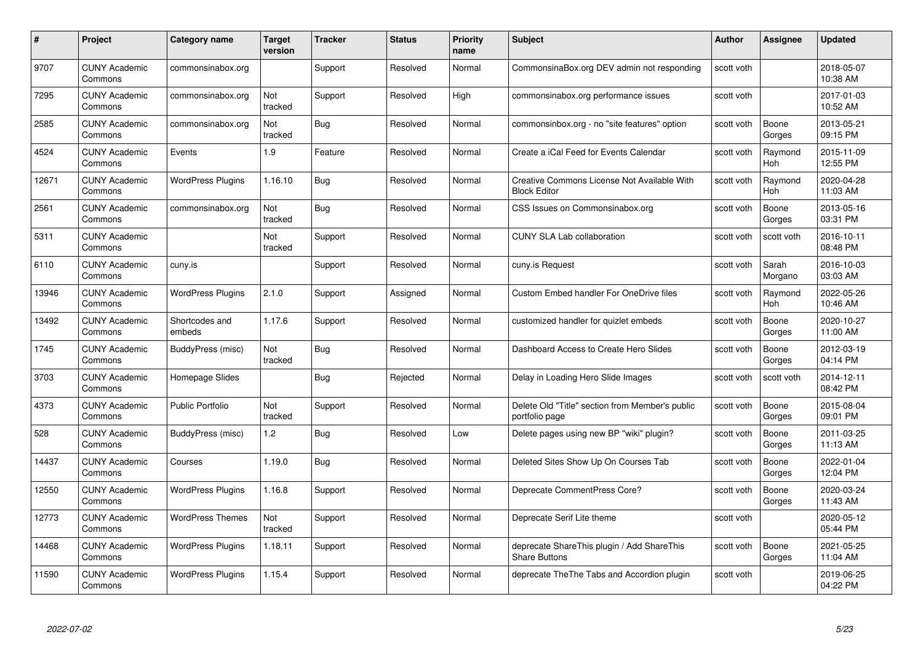| #     | Project                         | <b>Category name</b>     | Target<br>version | <b>Tracker</b> | <b>Status</b> | <b>Priority</b><br>name | <b>Subject</b>                                                     | <b>Author</b> | <b>Assignee</b>       | <b>Updated</b>         |
|-------|---------------------------------|--------------------------|-------------------|----------------|---------------|-------------------------|--------------------------------------------------------------------|---------------|-----------------------|------------------------|
| 9707  | <b>CUNY Academic</b><br>Commons | commonsinabox.org        |                   | Support        | Resolved      | Normal                  | CommonsinaBox.org DEV admin not responding                         | scott voth    |                       | 2018-05-07<br>10:38 AM |
| 7295  | <b>CUNY Academic</b><br>Commons | commonsinabox.org        | Not<br>tracked    | Support        | Resolved      | High                    | commonsinabox.org performance issues                               | scott voth    |                       | 2017-01-03<br>10:52 AM |
| 2585  | <b>CUNY Academic</b><br>Commons | commonsinabox.org        | Not<br>tracked    | <b>Bug</b>     | Resolved      | Normal                  | commonsinbox.org - no "site features" option                       | scott voth    | Boone<br>Gorges       | 2013-05-21<br>09:15 PM |
| 4524  | <b>CUNY Academic</b><br>Commons | Events                   | 1.9               | Feature        | Resolved      | Normal                  | Create a iCal Feed for Events Calendar                             | scott voth    | Raymond<br><b>Hoh</b> | 2015-11-09<br>12:55 PM |
| 12671 | <b>CUNY Academic</b><br>Commons | <b>WordPress Plugins</b> | 1.16.10           | <b>Bug</b>     | Resolved      | Normal                  | Creative Commons License Not Available With<br><b>Block Editor</b> | scott voth    | Raymond<br>Hoh        | 2020-04-28<br>11:03 AM |
| 2561  | <b>CUNY Academic</b><br>Commons | commonsinabox.org        | Not<br>tracked    | Bug            | Resolved      | Normal                  | CSS Issues on Commonsinabox.org                                    | scott voth    | Boone<br>Gorges       | 2013-05-16<br>03:31 PM |
| 5311  | <b>CUNY Academic</b><br>Commons |                          | Not<br>tracked    | Support        | Resolved      | Normal                  | <b>CUNY SLA Lab collaboration</b>                                  | scott voth    | scott voth            | 2016-10-11<br>08:48 PM |
| 6110  | <b>CUNY Academic</b><br>Commons | cuny.is                  |                   | Support        | Resolved      | Normal                  | cuny.is Request                                                    | scott voth    | Sarah<br>Morgano      | 2016-10-03<br>03:03 AM |
| 13946 | <b>CUNY Academic</b><br>Commons | <b>WordPress Plugins</b> | 2.1.0             | Support        | Assigned      | Normal                  | <b>Custom Embed handler For OneDrive files</b>                     | scott voth    | Raymond<br>Hoh        | 2022-05-26<br>10:46 AM |
| 13492 | <b>CUNY Academic</b><br>Commons | Shortcodes and<br>embeds | 1.17.6            | Support        | Resolved      | Normal                  | customized handler for quizlet embeds                              | scott voth    | Boone<br>Gorges       | 2020-10-27<br>11:00 AM |
| 1745  | <b>CUNY Academic</b><br>Commons | BuddyPress (misc)        | Not<br>tracked    | Bug            | Resolved      | Normal                  | Dashboard Access to Create Hero Slides                             | scott voth    | Boone<br>Gorges       | 2012-03-19<br>04:14 PM |
| 3703  | <b>CUNY Academic</b><br>Commons | Homepage Slides          |                   | <b>Bug</b>     | Rejected      | Normal                  | Delay in Loading Hero Slide Images                                 | scott voth    | scott voth            | 2014-12-11<br>08:42 PM |
| 4373  | <b>CUNY Academic</b><br>Commons | <b>Public Portfolio</b>  | Not<br>tracked    | Support        | Resolved      | Normal                  | Delete Old "Title" section from Member's public<br>portfolio page  | scott voth    | Boone<br>Gorges       | 2015-08-04<br>09:01 PM |
| 528   | <b>CUNY Academic</b><br>Commons | BuddyPress (misc)        | 1.2               | Bug            | Resolved      | Low                     | Delete pages using new BP "wiki" plugin?                           | scott voth    | Boone<br>Gorges       | 2011-03-25<br>11:13 AM |
| 14437 | <b>CUNY Academic</b><br>Commons | Courses                  | 1.19.0            | Bug            | Resolved      | Normal                  | Deleted Sites Show Up On Courses Tab                               | scott voth    | Boone<br>Gorges       | 2022-01-04<br>12:04 PM |
| 12550 | <b>CUNY Academic</b><br>Commons | <b>WordPress Plugins</b> | 1.16.8            | Support        | Resolved      | Normal                  | Deprecate CommentPress Core?                                       | scott voth    | Boone<br>Gorges       | 2020-03-24<br>11:43 AM |
| 12773 | <b>CUNY Academic</b><br>Commons | <b>WordPress Themes</b>  | Not<br>tracked    | Support        | Resolved      | Normal                  | Deprecate Serif Lite theme                                         | scott voth    |                       | 2020-05-12<br>05:44 PM |
| 14468 | <b>CUNY Academic</b><br>Commons | <b>WordPress Plugins</b> | 1.18.11           | Support        | Resolved      | Normal                  | deprecate ShareThis plugin / Add ShareThis<br><b>Share Buttons</b> | scott voth    | Boone<br>Gorges       | 2021-05-25<br>11:04 AM |
| 11590 | <b>CUNY Academic</b><br>Commons | <b>WordPress Plugins</b> | 1.15.4            | Support        | Resolved      | Normal                  | deprecate The The Tabs and Accordion plugin                        | scott voth    |                       | 2019-06-25<br>04:22 PM |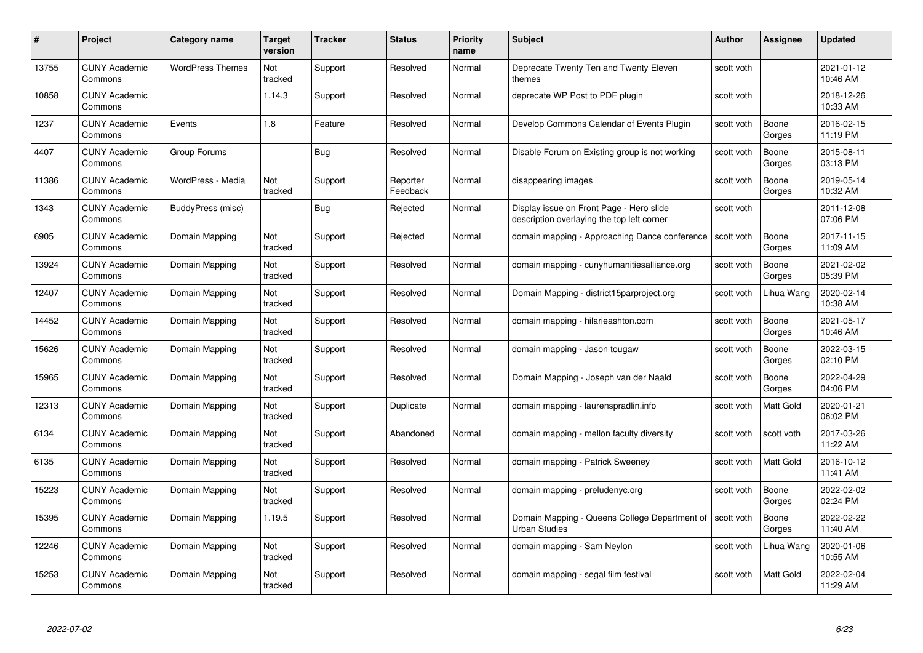| #     | Project                         | <b>Category name</b>    | Target<br>version | <b>Tracker</b> | <b>Status</b>        | <b>Priority</b><br>name | <b>Subject</b>                                                                         | <b>Author</b> | <b>Assignee</b>  | <b>Updated</b>         |
|-------|---------------------------------|-------------------------|-------------------|----------------|----------------------|-------------------------|----------------------------------------------------------------------------------------|---------------|------------------|------------------------|
| 13755 | <b>CUNY Academic</b><br>Commons | <b>WordPress Themes</b> | Not<br>tracked    | Support        | Resolved             | Normal                  | Deprecate Twenty Ten and Twenty Eleven<br>themes                                       | scott voth    |                  | 2021-01-12<br>10:46 AM |
| 10858 | <b>CUNY Academic</b><br>Commons |                         | 1.14.3            | Support        | Resolved             | Normal                  | deprecate WP Post to PDF plugin                                                        | scott voth    |                  | 2018-12-26<br>10:33 AM |
| 1237  | <b>CUNY Academic</b><br>Commons | Events                  | 1.8               | Feature        | Resolved             | Normal                  | Develop Commons Calendar of Events Plugin                                              | scott voth    | Boone<br>Gorges  | 2016-02-15<br>11:19 PM |
| 4407  | <b>CUNY Academic</b><br>Commons | Group Forums            |                   | Bug            | Resolved             | Normal                  | Disable Forum on Existing group is not working                                         | scott voth    | Boone<br>Gorges  | 2015-08-11<br>03:13 PM |
| 11386 | <b>CUNY Academic</b><br>Commons | WordPress - Media       | Not<br>tracked    | Support        | Reporter<br>Feedback | Normal                  | disappearing images                                                                    | scott voth    | Boone<br>Gorges  | 2019-05-14<br>10:32 AM |
| 1343  | <b>CUNY Academic</b><br>Commons | BuddyPress (misc)       |                   | Bug            | Rejected             | Normal                  | Display issue on Front Page - Hero slide<br>description overlaying the top left corner | scott voth    |                  | 2011-12-08<br>07:06 PM |
| 6905  | <b>CUNY Academic</b><br>Commons | Domain Mapping          | Not<br>tracked    | Support        | Rejected             | Normal                  | domain mapping - Approaching Dance conference                                          | scott voth    | Boone<br>Gorges  | 2017-11-15<br>11:09 AM |
| 13924 | <b>CUNY Academic</b><br>Commons | Domain Mapping          | Not<br>tracked    | Support        | Resolved             | Normal                  | domain mapping - cunyhumanitiesalliance.org                                            | scott voth    | Boone<br>Gorges  | 2021-02-02<br>05:39 PM |
| 12407 | <b>CUNY Academic</b><br>Commons | Domain Mapping          | Not<br>tracked    | Support        | Resolved             | Normal                  | Domain Mapping - district15parproject.org                                              | scott voth    | Lihua Wang       | 2020-02-14<br>10:38 AM |
| 14452 | <b>CUNY Academic</b><br>Commons | Domain Mapping          | Not<br>tracked    | Support        | Resolved             | Normal                  | domain mapping - hilarieashton.com                                                     | scott voth    | Boone<br>Gorges  | 2021-05-17<br>10:46 AM |
| 15626 | CUNY Academic<br>Commons        | Domain Mapping          | Not<br>tracked    | Support        | Resolved             | Normal                  | domain mapping - Jason tougaw                                                          | scott voth    | Boone<br>Gorges  | 2022-03-15<br>02:10 PM |
| 15965 | <b>CUNY Academic</b><br>Commons | Domain Mapping          | Not<br>tracked    | Support        | Resolved             | Normal                  | Domain Mapping - Joseph van der Naald                                                  | scott voth    | Boone<br>Gorges  | 2022-04-29<br>04:06 PM |
| 12313 | <b>CUNY Academic</b><br>Commons | Domain Mapping          | Not<br>tracked    | Support        | Duplicate            | Normal                  | domain mapping - laurenspradlin.info                                                   | scott voth    | Matt Gold        | 2020-01-21<br>06:02 PM |
| 6134  | <b>CUNY Academic</b><br>Commons | Domain Mapping          | Not<br>tracked    | Support        | Abandoned            | Normal                  | domain mapping - mellon faculty diversity                                              | scott voth    | scott voth       | 2017-03-26<br>11:22 AM |
| 6135  | <b>CUNY Academic</b><br>Commons | Domain Mapping          | Not<br>tracked    | Support        | Resolved             | Normal                  | domain mapping - Patrick Sweeney                                                       | scott voth    | Matt Gold        | 2016-10-12<br>11:41 AM |
| 15223 | <b>CUNY Academic</b><br>Commons | Domain Mapping          | Not<br>tracked    | Support        | Resolved             | Normal                  | domain mapping - preludenyc.org                                                        | scott voth    | Boone<br>Gorges  | 2022-02-02<br>02:24 PM |
| 15395 | <b>CUNY Academic</b><br>Commons | Domain Mapping          | 1.19.5            | Support        | Resolved             | Normal                  | Domain Mapping - Queens College Department of<br><b>Urban Studies</b>                  | scott voth    | Boone<br>Gorges  | 2022-02-22<br>11:40 AM |
| 12246 | <b>CUNY Academic</b><br>Commons | Domain Mapping          | Not<br>tracked    | Support        | Resolved             | Normal                  | domain mapping - Sam Neylon                                                            | scott voth    | Lihua Wang       | 2020-01-06<br>10:55 AM |
| 15253 | CUNY Academic<br>Commons        | Domain Mapping          | Not<br>tracked    | Support        | Resolved             | Normal                  | domain mapping - segal film festival                                                   | scott voth    | <b>Matt Gold</b> | 2022-02-04<br>11:29 AM |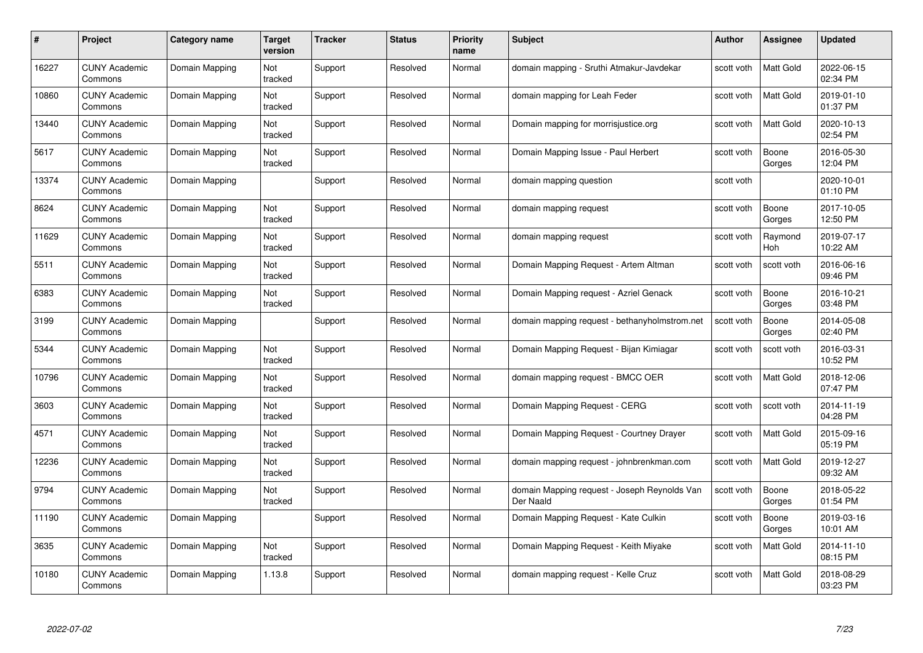| #     | Project                         | Category name  | Target<br>version | <b>Tracker</b> | <b>Status</b> | <b>Priority</b><br>name | <b>Subject</b>                                            | <b>Author</b> | <b>Assignee</b>  | <b>Updated</b>         |
|-------|---------------------------------|----------------|-------------------|----------------|---------------|-------------------------|-----------------------------------------------------------|---------------|------------------|------------------------|
| 16227 | <b>CUNY Academic</b><br>Commons | Domain Mapping | Not<br>tracked    | Support        | Resolved      | Normal                  | domain mapping - Sruthi Atmakur-Javdekar                  | scott voth    | <b>Matt Gold</b> | 2022-06-15<br>02:34 PM |
| 10860 | <b>CUNY Academic</b><br>Commons | Domain Mapping | Not<br>tracked    | Support        | Resolved      | Normal                  | domain mapping for Leah Feder                             | scott voth    | Matt Gold        | 2019-01-10<br>01:37 PM |
| 13440 | <b>CUNY Academic</b><br>Commons | Domain Mapping | Not<br>tracked    | Support        | Resolved      | Normal                  | Domain mapping for morrisjustice.org                      | scott voth    | Matt Gold        | 2020-10-13<br>02:54 PM |
| 5617  | <b>CUNY Academic</b><br>Commons | Domain Mapping | Not<br>tracked    | Support        | Resolved      | Normal                  | Domain Mapping Issue - Paul Herbert                       | scott voth    | Boone<br>Gorges  | 2016-05-30<br>12:04 PM |
| 13374 | <b>CUNY Academic</b><br>Commons | Domain Mapping |                   | Support        | Resolved      | Normal                  | domain mapping question                                   | scott voth    |                  | 2020-10-01<br>01:10 PM |
| 8624  | <b>CUNY Academic</b><br>Commons | Domain Mapping | Not<br>tracked    | Support        | Resolved      | Normal                  | domain mapping request                                    | scott voth    | Boone<br>Gorges  | 2017-10-05<br>12:50 PM |
| 11629 | <b>CUNY Academic</b><br>Commons | Domain Mapping | Not<br>tracked    | Support        | Resolved      | Normal                  | domain mapping request                                    | scott voth    | Raymond<br>Hoh   | 2019-07-17<br>10:22 AM |
| 5511  | <b>CUNY Academic</b><br>Commons | Domain Mapping | Not<br>tracked    | Support        | Resolved      | Normal                  | Domain Mapping Request - Artem Altman                     | scott voth    | scott voth       | 2016-06-16<br>09:46 PM |
| 6383  | <b>CUNY Academic</b><br>Commons | Domain Mapping | Not<br>tracked    | Support        | Resolved      | Normal                  | Domain Mapping request - Azriel Genack                    | scott voth    | Boone<br>Gorges  | 2016-10-21<br>03:48 PM |
| 3199  | <b>CUNY Academic</b><br>Commons | Domain Mapping |                   | Support        | Resolved      | Normal                  | domain mapping request - bethanyholmstrom.net             | scott voth    | Boone<br>Gorges  | 2014-05-08<br>02:40 PM |
| 5344  | <b>CUNY Academic</b><br>Commons | Domain Mapping | Not<br>tracked    | Support        | Resolved      | Normal                  | Domain Mapping Request - Bijan Kimiagar                   | scott voth    | scott voth       | 2016-03-31<br>10:52 PM |
| 10796 | <b>CUNY Academic</b><br>Commons | Domain Mapping | Not<br>tracked    | Support        | Resolved      | Normal                  | domain mapping request - BMCC OER                         | scott voth    | Matt Gold        | 2018-12-06<br>07:47 PM |
| 3603  | <b>CUNY Academic</b><br>Commons | Domain Mapping | Not<br>tracked    | Support        | Resolved      | Normal                  | Domain Mapping Request - CERG                             | scott voth    | scott voth       | 2014-11-19<br>04:28 PM |
| 4571  | <b>CUNY Academic</b><br>Commons | Domain Mapping | Not<br>tracked    | Support        | Resolved      | Normal                  | Domain Mapping Request - Courtney Drayer                  | scott voth    | Matt Gold        | 2015-09-16<br>05:19 PM |
| 12236 | <b>CUNY Academic</b><br>Commons | Domain Mapping | Not<br>tracked    | Support        | Resolved      | Normal                  | domain mapping request - johnbrenkman.com                 | scott voth    | Matt Gold        | 2019-12-27<br>09:32 AM |
| 9794  | <b>CUNY Academic</b><br>Commons | Domain Mapping | Not<br>tracked    | Support        | Resolved      | Normal                  | domain Mapping request - Joseph Reynolds Van<br>Der Naald | scott voth    | Boone<br>Gorges  | 2018-05-22<br>01:54 PM |
| 11190 | <b>CUNY Academic</b><br>Commons | Domain Mapping |                   | Support        | Resolved      | Normal                  | Domain Mapping Request - Kate Culkin                      | scott voth    | Boone<br>Gorges  | 2019-03-16<br>10:01 AM |
| 3635  | <b>CUNY Academic</b><br>Commons | Domain Mapping | Not<br>tracked    | Support        | Resolved      | Normal                  | Domain Mapping Request - Keith Miyake                     | scott voth    | Matt Gold        | 2014-11-10<br>08:15 PM |
| 10180 | CUNY Academic<br>Commons        | Domain Mapping | 1.13.8            | Support        | Resolved      | Normal                  | domain mapping request - Kelle Cruz                       | scott voth    | <b>Matt Gold</b> | 2018-08-29<br>03:23 PM |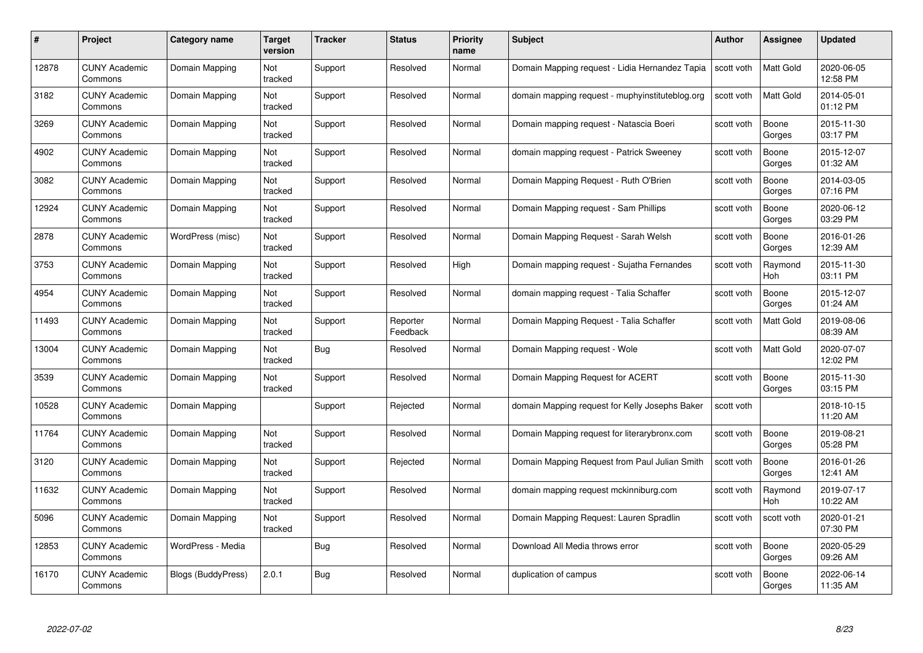| #     | Project                         | Category name      | Target<br>version | <b>Tracker</b> | <b>Status</b>        | <b>Priority</b><br>name | <b>Subject</b>                                  | <b>Author</b> | <b>Assignee</b>       | <b>Updated</b>         |
|-------|---------------------------------|--------------------|-------------------|----------------|----------------------|-------------------------|-------------------------------------------------|---------------|-----------------------|------------------------|
| 12878 | <b>CUNY Academic</b><br>Commons | Domain Mapping     | Not<br>tracked    | Support        | Resolved             | Normal                  | Domain Mapping request - Lidia Hernandez Tapia  | scott voth    | <b>Matt Gold</b>      | 2020-06-05<br>12:58 PM |
| 3182  | <b>CUNY Academic</b><br>Commons | Domain Mapping     | Not<br>tracked    | Support        | Resolved             | Normal                  | domain mapping request - muphyinstituteblog.org | scott voth    | Matt Gold             | 2014-05-01<br>01:12 PM |
| 3269  | <b>CUNY Academic</b><br>Commons | Domain Mapping     | Not<br>tracked    | Support        | Resolved             | Normal                  | Domain mapping request - Natascia Boeri         | scott voth    | Boone<br>Gorges       | 2015-11-30<br>03:17 PM |
| 4902  | <b>CUNY Academic</b><br>Commons | Domain Mapping     | Not<br>tracked    | Support        | Resolved             | Normal                  | domain mapping request - Patrick Sweeney        | scott voth    | Boone<br>Gorges       | 2015-12-07<br>01:32 AM |
| 3082  | <b>CUNY Academic</b><br>Commons | Domain Mapping     | Not<br>tracked    | Support        | Resolved             | Normal                  | Domain Mapping Request - Ruth O'Brien           | scott voth    | Boone<br>Gorges       | 2014-03-05<br>07:16 PM |
| 12924 | <b>CUNY Academic</b><br>Commons | Domain Mapping     | Not<br>tracked    | Support        | Resolved             | Normal                  | Domain Mapping request - Sam Phillips           | scott voth    | Boone<br>Gorges       | 2020-06-12<br>03:29 PM |
| 2878  | <b>CUNY Academic</b><br>Commons | WordPress (misc)   | Not<br>tracked    | Support        | Resolved             | Normal                  | Domain Mapping Request - Sarah Welsh            | scott voth    | Boone<br>Gorges       | 2016-01-26<br>12:39 AM |
| 3753  | <b>CUNY Academic</b><br>Commons | Domain Mapping     | Not<br>tracked    | Support        | Resolved             | High                    | Domain mapping request - Sujatha Fernandes      | scott voth    | Raymond<br>Hoh        | 2015-11-30<br>03:11 PM |
| 4954  | <b>CUNY Academic</b><br>Commons | Domain Mapping     | Not<br>tracked    | Support        | Resolved             | Normal                  | domain mapping request - Talia Schaffer         | scott voth    | Boone<br>Gorges       | 2015-12-07<br>01:24 AM |
| 11493 | <b>CUNY Academic</b><br>Commons | Domain Mapping     | Not<br>tracked    | Support        | Reporter<br>Feedback | Normal                  | Domain Mapping Request - Talia Schaffer         | scott voth    | Matt Gold             | 2019-08-06<br>08:39 AM |
| 13004 | <b>CUNY Academic</b><br>Commons | Domain Mapping     | Not<br>tracked    | Bug            | Resolved             | Normal                  | Domain Mapping request - Wole                   | scott voth    | Matt Gold             | 2020-07-07<br>12:02 PM |
| 3539  | <b>CUNY Academic</b><br>Commons | Domain Mapping     | Not<br>tracked    | Support        | Resolved             | Normal                  | Domain Mapping Request for ACERT                | scott voth    | Boone<br>Gorges       | 2015-11-30<br>03:15 PM |
| 10528 | <b>CUNY Academic</b><br>Commons | Domain Mapping     |                   | Support        | Rejected             | Normal                  | domain Mapping request for Kelly Josephs Baker  | scott voth    |                       | 2018-10-15<br>11:20 AM |
| 11764 | <b>CUNY Academic</b><br>Commons | Domain Mapping     | Not<br>tracked    | Support        | Resolved             | Normal                  | Domain Mapping request for literarybronx.com    | scott voth    | Boone<br>Gorges       | 2019-08-21<br>05:28 PM |
| 3120  | <b>CUNY Academic</b><br>Commons | Domain Mapping     | Not<br>tracked    | Support        | Rejected             | Normal                  | Domain Mapping Request from Paul Julian Smith   | scott voth    | Boone<br>Gorges       | 2016-01-26<br>12:41 AM |
| 11632 | <b>CUNY Academic</b><br>Commons | Domain Mapping     | Not<br>tracked    | Support        | Resolved             | Normal                  | domain mapping request mckinniburg.com          | scott voth    | Raymond<br><b>Hoh</b> | 2019-07-17<br>10:22 AM |
| 5096  | <b>CUNY Academic</b><br>Commons | Domain Mapping     | Not<br>tracked    | Support        | Resolved             | Normal                  | Domain Mapping Request: Lauren Spradlin         | scott voth    | scott voth            | 2020-01-21<br>07:30 PM |
| 12853 | <b>CUNY Academic</b><br>Commons | WordPress - Media  |                   | <b>Bug</b>     | Resolved             | Normal                  | Download All Media throws error                 | scott voth    | Boone<br>Gorges       | 2020-05-29<br>09:26 AM |
| 16170 | CUNY Academic<br>Commons        | Blogs (BuddyPress) | 2.0.1             | <b>Bug</b>     | Resolved             | Normal                  | duplication of campus                           | scott voth    | Boone<br>Gorges       | 2022-06-14<br>11:35 AM |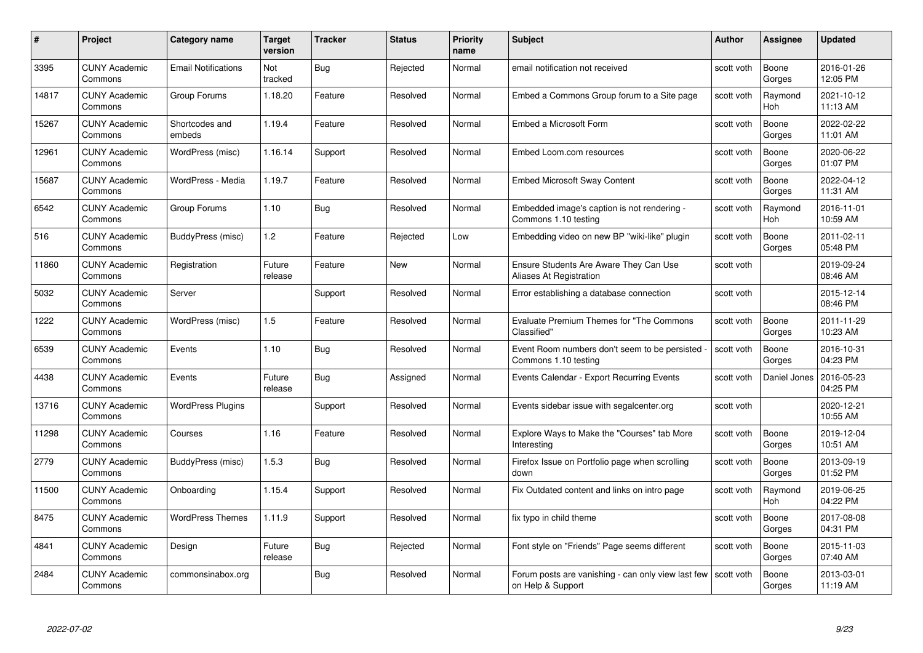| #     | Project                         | <b>Category name</b>       | Target<br>version | <b>Tracker</b> | <b>Status</b> | <b>Priority</b><br>name | <b>Subject</b>                                                          | <b>Author</b> | Assignee              | <b>Updated</b>         |
|-------|---------------------------------|----------------------------|-------------------|----------------|---------------|-------------------------|-------------------------------------------------------------------------|---------------|-----------------------|------------------------|
| 3395  | <b>CUNY Academic</b><br>Commons | <b>Email Notifications</b> | Not<br>tracked    | Bug            | Rejected      | Normal                  | email notification not received                                         | scott voth    | Boone<br>Gorges       | 2016-01-26<br>12:05 PM |
| 14817 | <b>CUNY Academic</b><br>Commons | Group Forums               | 1.18.20           | Feature        | Resolved      | Normal                  | Embed a Commons Group forum to a Site page                              | scott voth    | Raymond<br><b>Hoh</b> | 2021-10-12<br>11:13 AM |
| 15267 | <b>CUNY Academic</b><br>Commons | Shortcodes and<br>embeds   | 1.19.4            | Feature        | Resolved      | Normal                  | Embed a Microsoft Form                                                  | scott voth    | Boone<br>Gorges       | 2022-02-22<br>11:01 AM |
| 12961 | <b>CUNY Academic</b><br>Commons | WordPress (misc)           | 1.16.14           | Support        | Resolved      | Normal                  | Embed Loom.com resources                                                | scott voth    | Boone<br>Gorges       | 2020-06-22<br>01:07 PM |
| 15687 | <b>CUNY Academic</b><br>Commons | WordPress - Media          | 1.19.7            | Feature        | Resolved      | Normal                  | <b>Embed Microsoft Sway Content</b>                                     | scott voth    | Boone<br>Gorges       | 2022-04-12<br>11:31 AM |
| 6542  | <b>CUNY Academic</b><br>Commons | Group Forums               | 1.10              | <b>Bug</b>     | Resolved      | Normal                  | Embedded image's caption is not rendering -<br>Commons 1.10 testing     | scott voth    | Raymond<br>Hoh        | 2016-11-01<br>10:59 AM |
| 516   | <b>CUNY Academic</b><br>Commons | BuddyPress (misc)          | 1.2               | Feature        | Rejected      | Low                     | Embedding video on new BP "wiki-like" plugin                            | scott voth    | Boone<br>Gorges       | 2011-02-11<br>05:48 PM |
| 11860 | <b>CUNY Academic</b><br>Commons | Registration               | Future<br>release | Feature        | <b>New</b>    | Normal                  | Ensure Students Are Aware They Can Use<br>Aliases At Registration       | scott voth    |                       | 2019-09-24<br>08:46 AM |
| 5032  | <b>CUNY Academic</b><br>Commons | Server                     |                   | Support        | Resolved      | Normal                  | Error establishing a database connection                                | scott voth    |                       | 2015-12-14<br>08:46 PM |
| 1222  | <b>CUNY Academic</b><br>Commons | WordPress (misc)           | 1.5               | Feature        | Resolved      | Normal                  | Evaluate Premium Themes for "The Commons<br>Classified"                 | scott voth    | Boone<br>Gorges       | 2011-11-29<br>10:23 AM |
| 6539  | <b>CUNY Academic</b><br>Commons | Events                     | 1.10              | <b>Bug</b>     | Resolved      | Normal                  | Event Room numbers don't seem to be persisted<br>Commons 1.10 testing   | scott voth    | Boone<br>Gorges       | 2016-10-31<br>04:23 PM |
| 4438  | <b>CUNY Academic</b><br>Commons | Events                     | Future<br>release | Bug            | Assigned      | Normal                  | Events Calendar - Export Recurring Events                               | scott voth    | Daniel Jones          | 2016-05-23<br>04:25 PM |
| 13716 | <b>CUNY Academic</b><br>Commons | <b>WordPress Plugins</b>   |                   | Support        | Resolved      | Normal                  | Events sidebar issue with segalcenter.org                               | scott voth    |                       | 2020-12-21<br>10:55 AM |
| 11298 | <b>CUNY Academic</b><br>Commons | Courses                    | 1.16              | Feature        | Resolved      | Normal                  | Explore Ways to Make the "Courses" tab More<br>Interesting              | scott voth    | Boone<br>Gorges       | 2019-12-04<br>10:51 AM |
| 2779  | <b>CUNY Academic</b><br>Commons | BuddyPress (misc)          | 1.5.3             | Bug            | Resolved      | Normal                  | Firefox Issue on Portfolio page when scrolling<br>down                  | scott voth    | Boone<br>Gorges       | 2013-09-19<br>01:52 PM |
| 11500 | <b>CUNY Academic</b><br>Commons | Onboarding                 | 1.15.4            | Support        | Resolved      | Normal                  | Fix Outdated content and links on intro page                            | scott voth    | Raymond<br><b>Hoh</b> | 2019-06-25<br>04:22 PM |
| 8475  | <b>CUNY Academic</b><br>Commons | <b>WordPress Themes</b>    | 1.11.9            | Support        | Resolved      | Normal                  | fix typo in child theme                                                 | scott voth    | Boone<br>Gorges       | 2017-08-08<br>04:31 PM |
| 4841  | <b>CUNY Academic</b><br>Commons | Design                     | Future<br>release | <b>Bug</b>     | Rejected      | Normal                  | Font style on "Friends" Page seems different                            | scott voth    | Boone<br>Gorges       | 2015-11-03<br>07:40 AM |
| 2484  | CUNY Academic<br>Commons        | commonsinabox.org          |                   | <b>Bug</b>     | Resolved      | Normal                  | Forum posts are vanishing - can only view last few<br>on Help & Support | scott voth    | Boone<br>Gorges       | 2013-03-01<br>11:19 AM |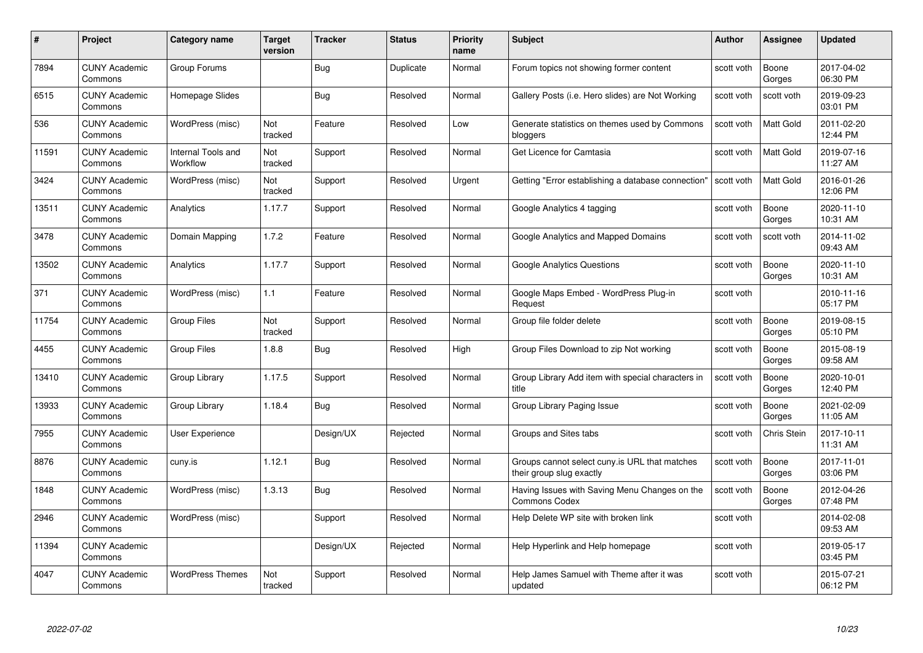| #     | Project                         | <b>Category name</b>           | <b>Target</b><br>version | <b>Tracker</b> | <b>Status</b> | <b>Priority</b><br>name | <b>Subject</b>                                                            | <b>Author</b> | <b>Assignee</b>    | <b>Updated</b>         |
|-------|---------------------------------|--------------------------------|--------------------------|----------------|---------------|-------------------------|---------------------------------------------------------------------------|---------------|--------------------|------------------------|
| 7894  | <b>CUNY Academic</b><br>Commons | Group Forums                   |                          | Bug            | Duplicate     | Normal                  | Forum topics not showing former content                                   | scott voth    | Boone<br>Gorges    | 2017-04-02<br>06:30 PM |
| 6515  | <b>CUNY Academic</b><br>Commons | Homepage Slides                |                          | Bug            | Resolved      | Normal                  | Gallery Posts (i.e. Hero slides) are Not Working                          | scott voth    | scott voth         | 2019-09-23<br>03:01 PM |
| 536   | <b>CUNY Academic</b><br>Commons | WordPress (misc)               | Not<br>tracked           | Feature        | Resolved      | Low                     | Generate statistics on themes used by Commons<br>bloggers                 | scott voth    | <b>Matt Gold</b>   | 2011-02-20<br>12:44 PM |
| 11591 | <b>CUNY Academic</b><br>Commons | Internal Tools and<br>Workflow | Not<br>tracked           | Support        | Resolved      | Normal                  | Get Licence for Camtasia                                                  | scott voth    | <b>Matt Gold</b>   | 2019-07-16<br>11:27 AM |
| 3424  | <b>CUNY Academic</b><br>Commons | WordPress (misc)               | Not<br>tracked           | Support        | Resolved      | Urgent                  | Getting "Error establishing a database connection"                        | scott voth    | <b>Matt Gold</b>   | 2016-01-26<br>12:06 PM |
| 13511 | <b>CUNY Academic</b><br>Commons | Analytics                      | 1.17.7                   | Support        | Resolved      | Normal                  | Google Analytics 4 tagging                                                | scott voth    | Boone<br>Gorges    | 2020-11-10<br>10:31 AM |
| 3478  | <b>CUNY Academic</b><br>Commons | Domain Mapping                 | 1.7.2                    | Feature        | Resolved      | Normal                  | Google Analytics and Mapped Domains                                       | scott voth    | scott voth         | 2014-11-02<br>09:43 AM |
| 13502 | <b>CUNY Academic</b><br>Commons | Analytics                      | 1.17.7                   | Support        | Resolved      | Normal                  | <b>Google Analytics Questions</b>                                         | scott voth    | Boone<br>Gorges    | 2020-11-10<br>10:31 AM |
| 371   | <b>CUNY Academic</b><br>Commons | WordPress (misc)               | 1.1                      | Feature        | Resolved      | Normal                  | Google Maps Embed - WordPress Plug-in<br>Request                          | scott voth    |                    | 2010-11-16<br>05:17 PM |
| 11754 | <b>CUNY Academic</b><br>Commons | Group Files                    | Not<br>tracked           | Support        | Resolved      | Normal                  | Group file folder delete                                                  | scott voth    | Boone<br>Gorges    | 2019-08-15<br>05:10 PM |
| 4455  | <b>CUNY Academic</b><br>Commons | <b>Group Files</b>             | 1.8.8                    | <b>Bug</b>     | Resolved      | High                    | Group Files Download to zip Not working                                   | scott voth    | Boone<br>Gorges    | 2015-08-19<br>09:58 AM |
| 13410 | <b>CUNY Academic</b><br>Commons | Group Library                  | 1.17.5                   | Support        | Resolved      | Normal                  | Group Library Add item with special characters in<br>title                | scott voth    | Boone<br>Gorges    | 2020-10-01<br>12:40 PM |
| 13933 | <b>CUNY Academic</b><br>Commons | Group Library                  | 1.18.4                   | <b>Bug</b>     | Resolved      | Normal                  | Group Library Paging Issue                                                | scott voth    | Boone<br>Gorges    | 2021-02-09<br>11:05 AM |
| 7955  | <b>CUNY Academic</b><br>Commons | <b>User Experience</b>         |                          | Design/UX      | Rejected      | Normal                  | Groups and Sites tabs                                                     | scott voth    | <b>Chris Stein</b> | 2017-10-11<br>11:31 AM |
| 8876  | <b>CUNY Academic</b><br>Commons | cuny.is                        | 1.12.1                   | <b>Bug</b>     | Resolved      | Normal                  | Groups cannot select cuny is URL that matches<br>their group slug exactly | scott voth    | Boone<br>Gorges    | 2017-11-01<br>03:06 PM |
| 1848  | <b>CUNY Academic</b><br>Commons | WordPress (misc)               | 1.3.13                   | <b>Bug</b>     | Resolved      | Normal                  | Having Issues with Saving Menu Changes on the<br><b>Commons Codex</b>     | scott voth    | Boone<br>Gorges    | 2012-04-26<br>07:48 PM |
| 2946  | <b>CUNY Academic</b><br>Commons | WordPress (misc)               |                          | Support        | Resolved      | Normal                  | Help Delete WP site with broken link                                      | scott voth    |                    | 2014-02-08<br>09:53 AM |
| 11394 | <b>CUNY Academic</b><br>Commons |                                |                          | Design/UX      | Rejected      | Normal                  | Help Hyperlink and Help homepage                                          | scott voth    |                    | 2019-05-17<br>03:45 PM |
| 4047  | CUNY Academic<br>Commons        | <b>WordPress Themes</b>        | Not<br>tracked           | Support        | Resolved      | Normal                  | Help James Samuel with Theme after it was<br>updated                      | scott voth    |                    | 2015-07-21<br>06:12 PM |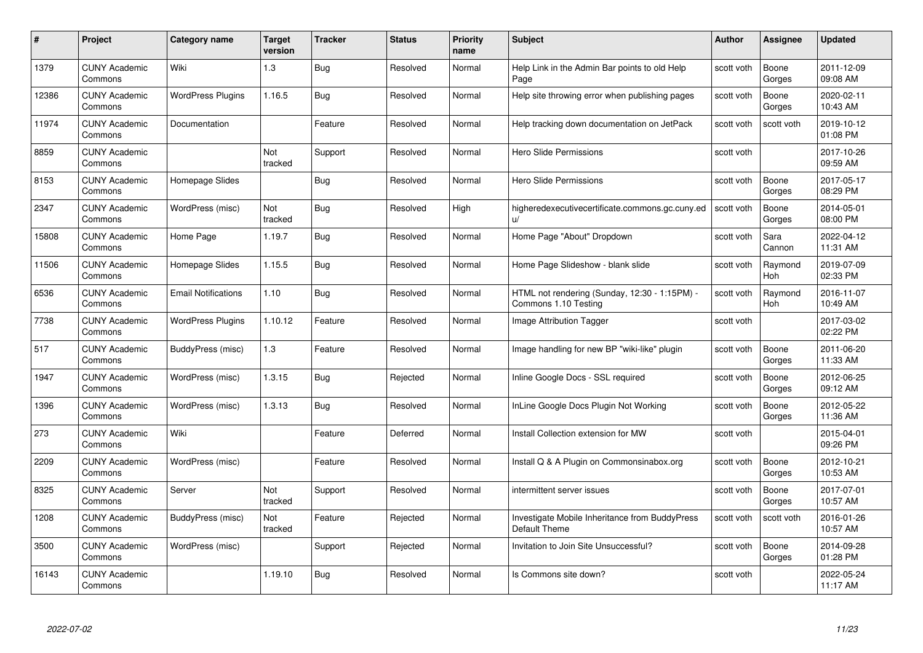| #     | Project                         | <b>Category name</b>       | Target<br>version | <b>Tracker</b> | <b>Status</b> | <b>Priority</b><br>name | <b>Subject</b>                                                        | <b>Author</b> | <b>Assignee</b>       | <b>Updated</b>         |
|-------|---------------------------------|----------------------------|-------------------|----------------|---------------|-------------------------|-----------------------------------------------------------------------|---------------|-----------------------|------------------------|
| 1379  | <b>CUNY Academic</b><br>Commons | Wiki                       | 1.3               | Bug            | Resolved      | Normal                  | Help Link in the Admin Bar points to old Help<br>Page                 | scott voth    | Boone<br>Gorges       | 2011-12-09<br>09:08 AM |
| 12386 | <b>CUNY Academic</b><br>Commons | <b>WordPress Plugins</b>   | 1.16.5            | Bug            | Resolved      | Normal                  | Help site throwing error when publishing pages                        | scott voth    | Boone<br>Gorges       | 2020-02-11<br>10:43 AM |
| 11974 | <b>CUNY Academic</b><br>Commons | Documentation              |                   | Feature        | Resolved      | Normal                  | Help tracking down documentation on JetPack                           | scott voth    | scott voth            | 2019-10-12<br>01:08 PM |
| 8859  | <b>CUNY Academic</b><br>Commons |                            | Not<br>tracked    | Support        | Resolved      | Normal                  | <b>Hero Slide Permissions</b>                                         | scott voth    |                       | 2017-10-26<br>09:59 AM |
| 8153  | <b>CUNY Academic</b><br>Commons | Homepage Slides            |                   | Bug            | Resolved      | Normal                  | Hero Slide Permissions                                                | scott voth    | Boone<br>Gorges       | 2017-05-17<br>08:29 PM |
| 2347  | <b>CUNY Academic</b><br>Commons | WordPress (misc)           | Not<br>tracked    | Bug            | Resolved      | High                    | higheredexecutivecertificate.commons.gc.cuny.ed<br>u/                 | scott voth    | Boone<br>Gorges       | 2014-05-01<br>08:00 PM |
| 15808 | <b>CUNY Academic</b><br>Commons | Home Page                  | 1.19.7            | <b>Bug</b>     | Resolved      | Normal                  | Home Page "About" Dropdown                                            | scott voth    | Sara<br>Cannon        | 2022-04-12<br>11:31 AM |
| 11506 | <b>CUNY Academic</b><br>Commons | Homepage Slides            | 1.15.5            | Bug            | Resolved      | Normal                  | Home Page Slideshow - blank slide                                     | scott voth    | Raymond<br>Hoh        | 2019-07-09<br>02:33 PM |
| 6536  | <b>CUNY Academic</b><br>Commons | <b>Email Notifications</b> | 1.10              | Bug            | Resolved      | Normal                  | HTML not rendering (Sunday, 12:30 - 1:15PM) -<br>Commons 1.10 Testing | scott voth    | Raymond<br><b>Hoh</b> | 2016-11-07<br>10:49 AM |
| 7738  | <b>CUNY Academic</b><br>Commons | <b>WordPress Plugins</b>   | 1.10.12           | Feature        | Resolved      | Normal                  | Image Attribution Tagger                                              | scott voth    |                       | 2017-03-02<br>02:22 PM |
| 517   | <b>CUNY Academic</b><br>Commons | BuddyPress (misc)          | 1.3               | Feature        | Resolved      | Normal                  | Image handling for new BP "wiki-like" plugin                          | scott voth    | Boone<br>Gorges       | 2011-06-20<br>11:33 AM |
| 1947  | <b>CUNY Academic</b><br>Commons | WordPress (misc)           | 1.3.15            | Bug            | Rejected      | Normal                  | Inline Google Docs - SSL required                                     | scott voth    | Boone<br>Gorges       | 2012-06-25<br>09:12 AM |
| 1396  | <b>CUNY Academic</b><br>Commons | WordPress (misc)           | 1.3.13            | <b>Bug</b>     | Resolved      | Normal                  | InLine Google Docs Plugin Not Working                                 | scott voth    | Boone<br>Gorges       | 2012-05-22<br>11:36 AM |
| 273   | <b>CUNY Academic</b><br>Commons | Wiki                       |                   | Feature        | Deferred      | Normal                  | Install Collection extension for MW                                   | scott voth    |                       | 2015-04-01<br>09:26 PM |
| 2209  | CUNY Academic<br>Commons        | WordPress (misc)           |                   | Feature        | Resolved      | Normal                  | Install Q & A Plugin on Commonsinabox.org                             | scott voth    | Boone<br>Gorges       | 2012-10-21<br>10:53 AM |
| 8325  | <b>CUNY Academic</b><br>Commons | Server                     | Not<br>tracked    | Support        | Resolved      | Normal                  | intermittent server issues                                            | scott voth    | Boone<br>Gorges       | 2017-07-01<br>10:57 AM |
| 1208  | <b>CUNY Academic</b><br>Commons | BuddyPress (misc)          | Not<br>tracked    | Feature        | Rejected      | Normal                  | Investigate Mobile Inheritance from BuddyPress<br>Default Theme       | scott voth    | scott voth            | 2016-01-26<br>10:57 AM |
| 3500  | <b>CUNY Academic</b><br>Commons | WordPress (misc)           |                   | Support        | Rejected      | Normal                  | Invitation to Join Site Unsuccessful?                                 | scott voth    | Boone<br>Gorges       | 2014-09-28<br>01:28 PM |
| 16143 | CUNY Academic<br>Commons        |                            | 1.19.10           | Bug            | Resolved      | Normal                  | Is Commons site down?                                                 | scott voth    |                       | 2022-05-24<br>11:17 AM |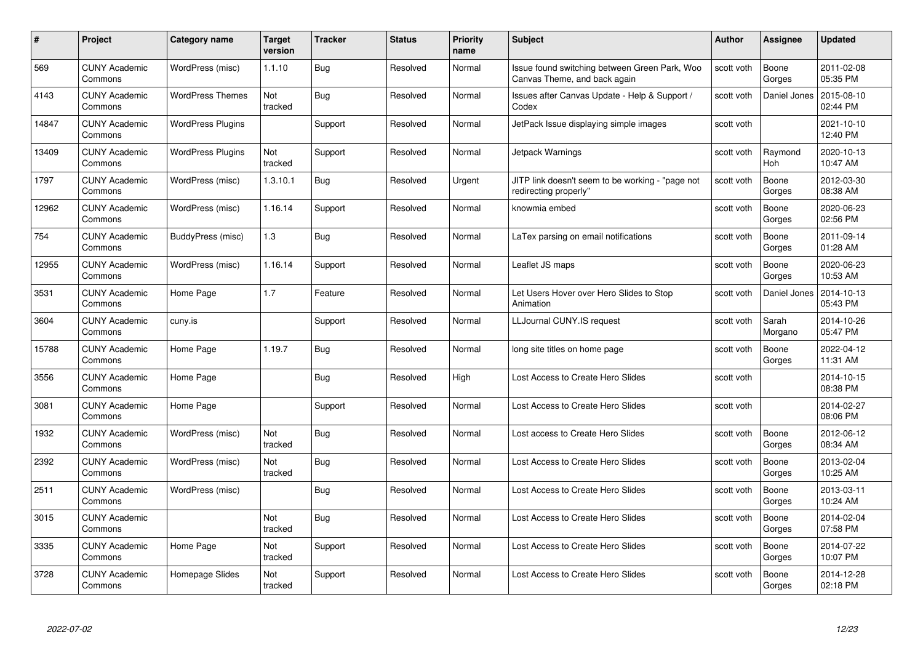| #     | Project                         | <b>Category name</b>     | Target<br>version | <b>Tracker</b> | <b>Status</b> | <b>Priority</b><br>name | <b>Subject</b>                                                                | <b>Author</b> | <b>Assignee</b>  | <b>Updated</b>         |
|-------|---------------------------------|--------------------------|-------------------|----------------|---------------|-------------------------|-------------------------------------------------------------------------------|---------------|------------------|------------------------|
| 569   | <b>CUNY Academic</b><br>Commons | WordPress (misc)         | 1.1.10            | Bug            | Resolved      | Normal                  | Issue found switching between Green Park, Woo<br>Canvas Theme, and back again | scott voth    | Boone<br>Gorges  | 2011-02-08<br>05:35 PM |
| 4143  | <b>CUNY Academic</b><br>Commons | <b>WordPress Themes</b>  | Not<br>tracked    | Bug            | Resolved      | Normal                  | Issues after Canvas Update - Help & Support /<br>Codex                        | scott voth    | Daniel Jones     | 2015-08-10<br>02:44 PM |
| 14847 | <b>CUNY Academic</b><br>Commons | <b>WordPress Plugins</b> |                   | Support        | Resolved      | Normal                  | JetPack Issue displaying simple images                                        | scott voth    |                  | 2021-10-10<br>12:40 PM |
| 13409 | <b>CUNY Academic</b><br>Commons | <b>WordPress Plugins</b> | Not<br>tracked    | Support        | Resolved      | Normal                  | Jetpack Warnings                                                              | scott voth    | Raymond<br>Hoh   | 2020-10-13<br>10:47 AM |
| 1797  | <b>CUNY Academic</b><br>Commons | WordPress (misc)         | 1.3.10.1          | Bug            | Resolved      | Urgent                  | JITP link doesn't seem to be working - "page not<br>redirecting properly"     | scott voth    | Boone<br>Gorges  | 2012-03-30<br>08:38 AM |
| 12962 | <b>CUNY Academic</b><br>Commons | WordPress (misc)         | 1.16.14           | Support        | Resolved      | Normal                  | knowmia embed                                                                 | scott voth    | Boone<br>Gorges  | 2020-06-23<br>02:56 PM |
| 754   | <b>CUNY Academic</b><br>Commons | BuddyPress (misc)        | 1.3               | Bug            | Resolved      | Normal                  | LaTex parsing on email notifications                                          | scott voth    | Boone<br>Gorges  | 2011-09-14<br>01:28 AM |
| 12955 | <b>CUNY Academic</b><br>Commons | WordPress (misc)         | 1.16.14           | Support        | Resolved      | Normal                  | Leaflet JS maps                                                               | scott voth    | Boone<br>Gorges  | 2020-06-23<br>10:53 AM |
| 3531  | <b>CUNY Academic</b><br>Commons | Home Page                | 1.7               | Feature        | Resolved      | Normal                  | Let Users Hover over Hero Slides to Stop<br>Animation                         | scott voth    | Daniel Jones     | 2014-10-13<br>05:43 PM |
| 3604  | <b>CUNY Academic</b><br>Commons | cuny.is                  |                   | Support        | Resolved      | Normal                  | LLJournal CUNY.IS request                                                     | scott voth    | Sarah<br>Morgano | 2014-10-26<br>05:47 PM |
| 15788 | CUNY Academic<br>Commons        | Home Page                | 1.19.7            | Bug            | Resolved      | Normal                  | long site titles on home page                                                 | scott voth    | Boone<br>Gorges  | 2022-04-12<br>11:31 AM |
| 3556  | <b>CUNY Academic</b><br>Commons | Home Page                |                   | Bug            | Resolved      | High                    | Lost Access to Create Hero Slides                                             | scott voth    |                  | 2014-10-15<br>08:38 PM |
| 3081  | <b>CUNY Academic</b><br>Commons | Home Page                |                   | Support        | Resolved      | Normal                  | Lost Access to Create Hero Slides                                             | scott voth    |                  | 2014-02-27<br>08:06 PM |
| 1932  | <b>CUNY Academic</b><br>Commons | WordPress (misc)         | Not<br>tracked    | <b>Bug</b>     | Resolved      | Normal                  | Lost access to Create Hero Slides                                             | scott voth    | Boone<br>Gorges  | 2012-06-12<br>08:34 AM |
| 2392  | <b>CUNY Academic</b><br>Commons | WordPress (misc)         | Not<br>tracked    | Bug            | Resolved      | Normal                  | Lost Access to Create Hero Slides                                             | scott voth    | Boone<br>Gorges  | 2013-02-04<br>10:25 AM |
| 2511  | <b>CUNY Academic</b><br>Commons | WordPress (misc)         |                   | Bug            | Resolved      | Normal                  | Lost Access to Create Hero Slides                                             | scott voth    | Boone<br>Gorges  | 2013-03-11<br>10:24 AM |
| 3015  | <b>CUNY Academic</b><br>Commons |                          | Not<br>tracked    | <b>Bug</b>     | Resolved      | Normal                  | Lost Access to Create Hero Slides                                             | scott voth    | Boone<br>Gorges  | 2014-02-04<br>07:58 PM |
| 3335  | <b>CUNY Academic</b><br>Commons | Home Page                | Not<br>tracked    | Support        | Resolved      | Normal                  | Lost Access to Create Hero Slides                                             | scott voth    | Boone<br>Gorges  | 2014-07-22<br>10:07 PM |
| 3728  | CUNY Academic<br>Commons        | Homepage Slides          | Not<br>tracked    | Support        | Resolved      | Normal                  | Lost Access to Create Hero Slides                                             | scott voth    | Boone<br>Gorges  | 2014-12-28<br>02:18 PM |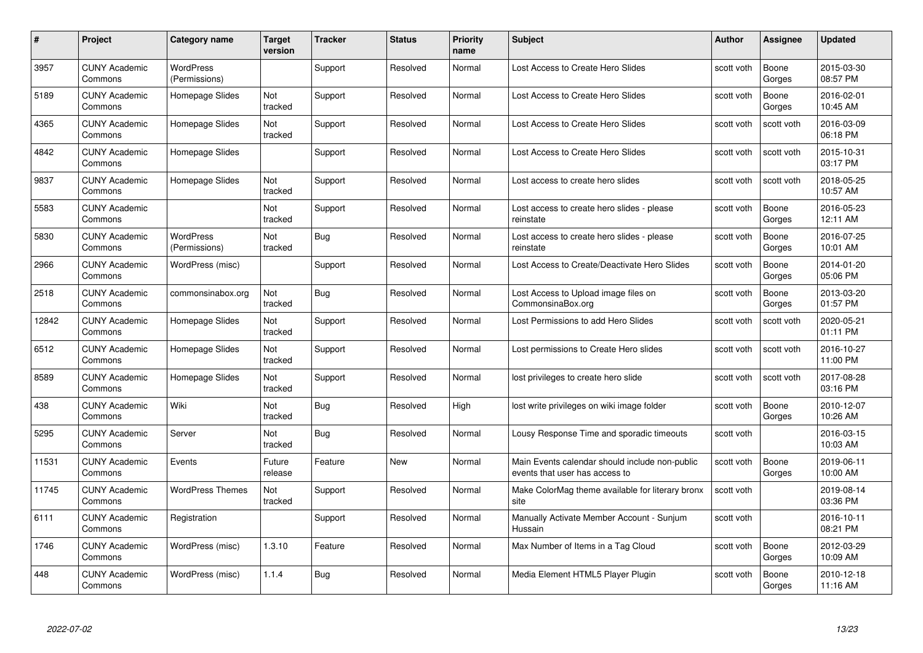| #     | Project                         | Category name                     | Target<br>version | <b>Tracker</b> | <b>Status</b> | <b>Priority</b><br>name | <b>Subject</b>                                                                   | Author     | Assignee        | <b>Updated</b>         |
|-------|---------------------------------|-----------------------------------|-------------------|----------------|---------------|-------------------------|----------------------------------------------------------------------------------|------------|-----------------|------------------------|
| 3957  | <b>CUNY Academic</b><br>Commons | <b>WordPress</b><br>(Permissions) |                   | Support        | Resolved      | Normal                  | Lost Access to Create Hero Slides                                                | scott voth | Boone<br>Gorges | 2015-03-30<br>08:57 PM |
| 5189  | <b>CUNY Academic</b><br>Commons | Homepage Slides                   | Not<br>tracked    | Support        | Resolved      | Normal                  | Lost Access to Create Hero Slides                                                | scott voth | Boone<br>Gorges | 2016-02-01<br>10:45 AM |
| 4365  | <b>CUNY Academic</b><br>Commons | Homepage Slides                   | Not<br>tracked    | Support        | Resolved      | Normal                  | Lost Access to Create Hero Slides                                                | scott voth | scott voth      | 2016-03-09<br>06:18 PM |
| 4842  | <b>CUNY Academic</b><br>Commons | Homepage Slides                   |                   | Support        | Resolved      | Normal                  | Lost Access to Create Hero Slides                                                | scott voth | scott voth      | 2015-10-31<br>03:17 PM |
| 9837  | <b>CUNY Academic</b><br>Commons | Homepage Slides                   | Not<br>tracked    | Support        | Resolved      | Normal                  | Lost access to create hero slides                                                | scott voth | scott voth      | 2018-05-25<br>10:57 AM |
| 5583  | <b>CUNY Academic</b><br>Commons |                                   | Not<br>tracked    | Support        | Resolved      | Normal                  | Lost access to create hero slides - please<br>reinstate                          | scott voth | Boone<br>Gorges | 2016-05-23<br>12:11 AM |
| 5830  | <b>CUNY Academic</b><br>Commons | <b>WordPress</b><br>(Permissions) | Not<br>tracked    | Bug            | Resolved      | Normal                  | Lost access to create hero slides - please<br>reinstate                          | scott voth | Boone<br>Gorges | 2016-07-25<br>10:01 AM |
| 2966  | <b>CUNY Academic</b><br>Commons | WordPress (misc)                  |                   | Support        | Resolved      | Normal                  | Lost Access to Create/Deactivate Hero Slides                                     | scott voth | Boone<br>Gorges | 2014-01-20<br>05:06 PM |
| 2518  | <b>CUNY Academic</b><br>Commons | commonsinabox.org                 | Not<br>tracked    | <b>Bug</b>     | Resolved      | Normal                  | Lost Access to Upload image files on<br>CommonsinaBox.org                        | scott voth | Boone<br>Gorges | 2013-03-20<br>01:57 PM |
| 12842 | <b>CUNY Academic</b><br>Commons | Homepage Slides                   | Not<br>tracked    | Support        | Resolved      | Normal                  | Lost Permissions to add Hero Slides                                              | scott voth | scott voth      | 2020-05-21<br>01:11 PM |
| 6512  | <b>CUNY Academic</b><br>Commons | Homepage Slides                   | Not<br>tracked    | Support        | Resolved      | Normal                  | Lost permissions to Create Hero slides                                           | scott voth | scott voth      | 2016-10-27<br>11:00 PM |
| 8589  | <b>CUNY Academic</b><br>Commons | Homepage Slides                   | Not<br>tracked    | Support        | Resolved      | Normal                  | lost privileges to create hero slide                                             | scott voth | scott voth      | 2017-08-28<br>03:16 PM |
| 438   | <b>CUNY Academic</b><br>Commons | Wiki                              | Not<br>tracked    | <b>Bug</b>     | Resolved      | High                    | lost write privileges on wiki image folder                                       | scott voth | Boone<br>Gorges | 2010-12-07<br>10:26 AM |
| 5295  | <b>CUNY Academic</b><br>Commons | Server                            | Not<br>tracked    | Bug            | Resolved      | Normal                  | Lousy Response Time and sporadic timeouts                                        | scott voth |                 | 2016-03-15<br>10:03 AM |
| 11531 | <b>CUNY Academic</b><br>Commons | Events                            | Future<br>release | Feature        | New           | Normal                  | Main Events calendar should include non-public<br>events that user has access to | scott voth | Boone<br>Gorges | 2019-06-11<br>10:00 AM |
| 11745 | <b>CUNY Academic</b><br>Commons | <b>WordPress Themes</b>           | Not<br>tracked    | Support        | Resolved      | Normal                  | Make ColorMag theme available for literary bronx<br>site                         | scott voth |                 | 2019-08-14<br>03:36 PM |
| 6111  | <b>CUNY Academic</b><br>Commons | Registration                      |                   | Support        | Resolved      | Normal                  | Manually Activate Member Account - Sunjum<br>Hussain                             | scott voth |                 | 2016-10-11<br>08:21 PM |
| 1746  | <b>CUNY Academic</b><br>Commons | WordPress (misc)                  | 1.3.10            | Feature        | Resolved      | Normal                  | Max Number of Items in a Tag Cloud                                               | scott voth | Boone<br>Gorges | 2012-03-29<br>10:09 AM |
| 448   | <b>CUNY Academic</b><br>Commons | WordPress (misc)                  | 1.1.4             | <b>Bug</b>     | Resolved      | Normal                  | Media Element HTML5 Player Plugin                                                | scott voth | Boone<br>Gorges | 2010-12-18<br>11:16 AM |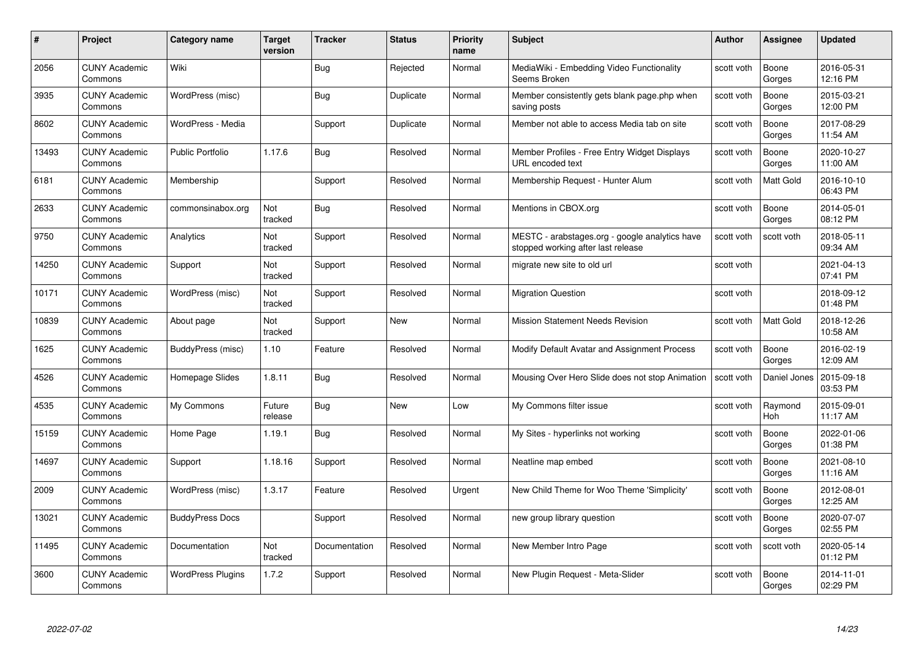| #     | Project                         | <b>Category name</b>     | Target<br>version | <b>Tracker</b> | <b>Status</b> | <b>Priority</b><br>name | <b>Subject</b>                                                                       | <b>Author</b> | <b>Assignee</b>  | <b>Updated</b>         |
|-------|---------------------------------|--------------------------|-------------------|----------------|---------------|-------------------------|--------------------------------------------------------------------------------------|---------------|------------------|------------------------|
| 2056  | <b>CUNY Academic</b><br>Commons | Wiki                     |                   | Bug            | Rejected      | Normal                  | MediaWiki - Embedding Video Functionality<br>Seems Broken                            | scott voth    | Boone<br>Gorges  | 2016-05-31<br>12:16 PM |
| 3935  | <b>CUNY Academic</b><br>Commons | WordPress (misc)         |                   | Bug            | Duplicate     | Normal                  | Member consistently gets blank page.php when<br>saving posts                         | scott voth    | Boone<br>Gorges  | 2015-03-21<br>12:00 PM |
| 8602  | <b>CUNY Academic</b><br>Commons | WordPress - Media        |                   | Support        | Duplicate     | Normal                  | Member not able to access Media tab on site                                          | scott voth    | Boone<br>Gorges  | 2017-08-29<br>11:54 AM |
| 13493 | <b>CUNY Academic</b><br>Commons | Public Portfolio         | 1.17.6            | Bug            | Resolved      | Normal                  | Member Profiles - Free Entry Widget Displays<br>URL encoded text                     | scott voth    | Boone<br>Gorges  | 2020-10-27<br>11:00 AM |
| 6181  | <b>CUNY Academic</b><br>Commons | Membership               |                   | Support        | Resolved      | Normal                  | Membership Request - Hunter Alum                                                     | scott voth    | <b>Matt Gold</b> | 2016-10-10<br>06:43 PM |
| 2633  | <b>CUNY Academic</b><br>Commons | commonsinabox.org        | Not<br>tracked    | Bug            | Resolved      | Normal                  | Mentions in CBOX.org                                                                 | scott voth    | Boone<br>Gorges  | 2014-05-01<br>08:12 PM |
| 9750  | <b>CUNY Academic</b><br>Commons | Analytics                | Not<br>tracked    | Support        | Resolved      | Normal                  | MESTC - arabstages.org - google analytics have<br>stopped working after last release | scott voth    | scott voth       | 2018-05-11<br>09:34 AM |
| 14250 | <b>CUNY Academic</b><br>Commons | Support                  | Not<br>tracked    | Support        | Resolved      | Normal                  | migrate new site to old url                                                          | scott voth    |                  | 2021-04-13<br>07:41 PM |
| 10171 | <b>CUNY Academic</b><br>Commons | WordPress (misc)         | Not<br>tracked    | Support        | Resolved      | Normal                  | <b>Migration Question</b>                                                            | scott voth    |                  | 2018-09-12<br>01:48 PM |
| 10839 | <b>CUNY Academic</b><br>Commons | About page               | Not<br>tracked    | Support        | New           | Normal                  | <b>Mission Statement Needs Revision</b>                                              | scott voth    | Matt Gold        | 2018-12-26<br>10:58 AM |
| 1625  | CUNY Academic<br>Commons        | BuddyPress (misc)        | 1.10              | Feature        | Resolved      | Normal                  | Modify Default Avatar and Assignment Process                                         | scott voth    | Boone<br>Gorges  | 2016-02-19<br>12:09 AM |
| 4526  | <b>CUNY Academic</b><br>Commons | Homepage Slides          | 1.8.11            | <b>Bug</b>     | Resolved      | Normal                  | Mousing Over Hero Slide does not stop Animation                                      | scott voth    | Daniel Jones     | 2015-09-18<br>03:53 PM |
| 4535  | <b>CUNY Academic</b><br>Commons | My Commons               | Future<br>release | Bug            | New           | Low                     | My Commons filter issue                                                              | scott voth    | Raymond<br>Hoh   | 2015-09-01<br>11:17 AM |
| 15159 | <b>CUNY Academic</b><br>Commons | Home Page                | 1.19.1            | <b>Bug</b>     | Resolved      | Normal                  | My Sites - hyperlinks not working                                                    | scott voth    | Boone<br>Gorges  | 2022-01-06<br>01:38 PM |
| 14697 | <b>CUNY Academic</b><br>Commons | Support                  | 1.18.16           | Support        | Resolved      | Normal                  | Neatline map embed                                                                   | scott voth    | Boone<br>Gorges  | 2021-08-10<br>11:16 AM |
| 2009  | <b>CUNY Academic</b><br>Commons | WordPress (misc)         | 1.3.17            | Feature        | Resolved      | Urgent                  | New Child Theme for Woo Theme 'Simplicity'                                           | scott voth    | Boone<br>Gorges  | 2012-08-01<br>12:25 AM |
| 13021 | <b>CUNY Academic</b><br>Commons | <b>BuddyPress Docs</b>   |                   | Support        | Resolved      | Normal                  | new group library question                                                           | scott voth    | Boone<br>Gorges  | 2020-07-07<br>02:55 PM |
| 11495 | <b>CUNY Academic</b><br>Commons | Documentation            | Not<br>tracked    | Documentation  | Resolved      | Normal                  | New Member Intro Page                                                                | scott voth    | scott voth       | 2020-05-14<br>01:12 PM |
| 3600  | CUNY Academic<br>Commons        | <b>WordPress Plugins</b> | 1.7.2             | Support        | Resolved      | Normal                  | New Plugin Request - Meta-Slider                                                     | scott voth    | Boone<br>Gorges  | 2014-11-01<br>02:29 PM |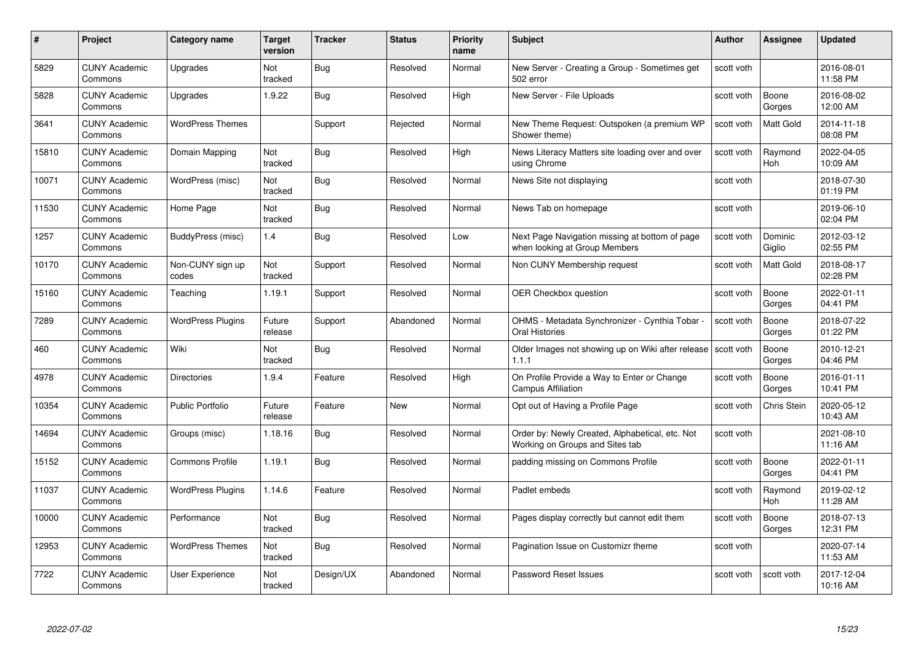| #     | Project                         | <b>Category name</b>      | Target<br>version     | <b>Tracker</b> | <b>Status</b> | <b>Priority</b><br>name | <b>Subject</b>                                                                     | <b>Author</b> | <b>Assignee</b>       | <b>Updated</b>         |
|-------|---------------------------------|---------------------------|-----------------------|----------------|---------------|-------------------------|------------------------------------------------------------------------------------|---------------|-----------------------|------------------------|
| 5829  | <b>CUNY Academic</b><br>Commons | Upgrades                  | Not<br>tracked        | Bug            | Resolved      | Normal                  | New Server - Creating a Group - Sometimes get<br>502 error                         | scott voth    |                       | 2016-08-01<br>11:58 PM |
| 5828  | <b>CUNY Academic</b><br>Commons | Upgrades                  | 1.9.22                | <b>Bug</b>     | Resolved      | High                    | New Server - File Uploads                                                          | scott voth    | Boone<br>Gorges       | 2016-08-02<br>12:00 AM |
| 3641  | <b>CUNY Academic</b><br>Commons | <b>WordPress Themes</b>   |                       | Support        | Rejected      | Normal                  | New Theme Request: Outspoken (a premium WP<br>Shower theme)                        | scott voth    | Matt Gold             | 2014-11-18<br>08:08 PM |
| 15810 | <b>CUNY Academic</b><br>Commons | Domain Mapping            | <b>Not</b><br>tracked | Bug            | Resolved      | High                    | News Literacy Matters site loading over and over<br>using Chrome                   | scott voth    | Raymond<br>Hoh        | 2022-04-05<br>10:09 AM |
| 10071 | <b>CUNY Academic</b><br>Commons | WordPress (misc)          | Not<br>tracked        | Bug            | Resolved      | Normal                  | News Site not displaying                                                           | scott voth    |                       | 2018-07-30<br>01:19 PM |
| 11530 | <b>CUNY Academic</b><br>Commons | Home Page                 | <b>Not</b><br>tracked | Bug            | Resolved      | Normal                  | News Tab on homepage                                                               | scott voth    |                       | 2019-06-10<br>02:04 PM |
| 1257  | <b>CUNY Academic</b><br>Commons | BuddyPress (misc)         | 1.4                   | Bug            | Resolved      | Low                     | Next Page Navigation missing at bottom of page<br>when looking at Group Members    | scott voth    | Dominic<br>Giglio     | 2012-03-12<br>02:55 PM |
| 10170 | <b>CUNY Academic</b><br>Commons | Non-CUNY sign up<br>codes | Not<br>tracked        | Support        | Resolved      | Normal                  | Non CUNY Membership request                                                        | scott voth    | Matt Gold             | 2018-08-17<br>02:28 PM |
| 15160 | <b>CUNY Academic</b><br>Commons | Teaching                  | 1.19.1                | Support        | Resolved      | Normal                  | <b>OER Checkbox question</b>                                                       | scott voth    | Boone<br>Gorges       | 2022-01-11<br>04:41 PM |
| 7289  | <b>CUNY Academic</b><br>Commons | <b>WordPress Plugins</b>  | Future<br>release     | Support        | Abandoned     | Normal                  | OHMS - Metadata Synchronizer - Cynthia Tobar<br>Oral Histories                     | scott voth    | Boone<br>Gorges       | 2018-07-22<br>01:22 PM |
| 460   | CUNY Academic<br>Commons        | Wiki                      | Not<br>tracked        | Bug            | Resolved      | Normal                  | Older Images not showing up on Wiki after release Scott voth<br>1.1.1              |               | Boone<br>Gorges       | 2010-12-21<br>04:46 PM |
| 4978  | <b>CUNY Academic</b><br>Commons | <b>Directories</b>        | 1.9.4                 | Feature        | Resolved      | High                    | On Profile Provide a Way to Enter or Change<br><b>Campus Affiliation</b>           | scott voth    | Boone<br>Gorges       | 2016-01-11<br>10:41 PM |
| 10354 | <b>CUNY Academic</b><br>Commons | <b>Public Portfolio</b>   | Future<br>release     | Feature        | New           | Normal                  | Opt out of Having a Profile Page                                                   | scott voth    | Chris Stein           | 2020-05-12<br>10:43 AM |
| 14694 | <b>CUNY Academic</b><br>Commons | Groups (misc)             | 1.18.16               | <b>Bug</b>     | Resolved      | Normal                  | Order by: Newly Created, Alphabetical, etc. Not<br>Working on Groups and Sites tab | scott voth    |                       | 2021-08-10<br>11:16 AM |
| 15152 | <b>CUNY Academic</b><br>Commons | <b>Commons Profile</b>    | 1.19.1                | Bug            | Resolved      | Normal                  | padding missing on Commons Profile                                                 | scott voth    | Boone<br>Gorges       | 2022-01-11<br>04:41 PM |
| 11037 | <b>CUNY Academic</b><br>Commons | <b>WordPress Plugins</b>  | 1.14.6                | Feature        | Resolved      | Normal                  | Padlet embeds                                                                      | scott voth    | Raymond<br><b>Hoh</b> | 2019-02-12<br>11:28 AM |
| 10000 | <b>CUNY Academic</b><br>Commons | Performance               | Not<br>tracked        | <b>Bug</b>     | Resolved      | Normal                  | Pages display correctly but cannot edit them                                       | scott voth    | Boone<br>Gorges       | 2018-07-13<br>12:31 PM |
| 12953 | <b>CUNY Academic</b><br>Commons | <b>WordPress Themes</b>   | Not<br>tracked        | Bug            | Resolved      | Normal                  | Pagination Issue on Customizr theme                                                | scott voth    |                       | 2020-07-14<br>11:53 AM |
| 7722  | <b>CUNY Academic</b><br>Commons | User Experience           | Not<br>tracked        | Design/UX      | Abandoned     | Normal                  | Password Reset Issues                                                              | scott voth    | scott voth            | 2017-12-04<br>10:16 AM |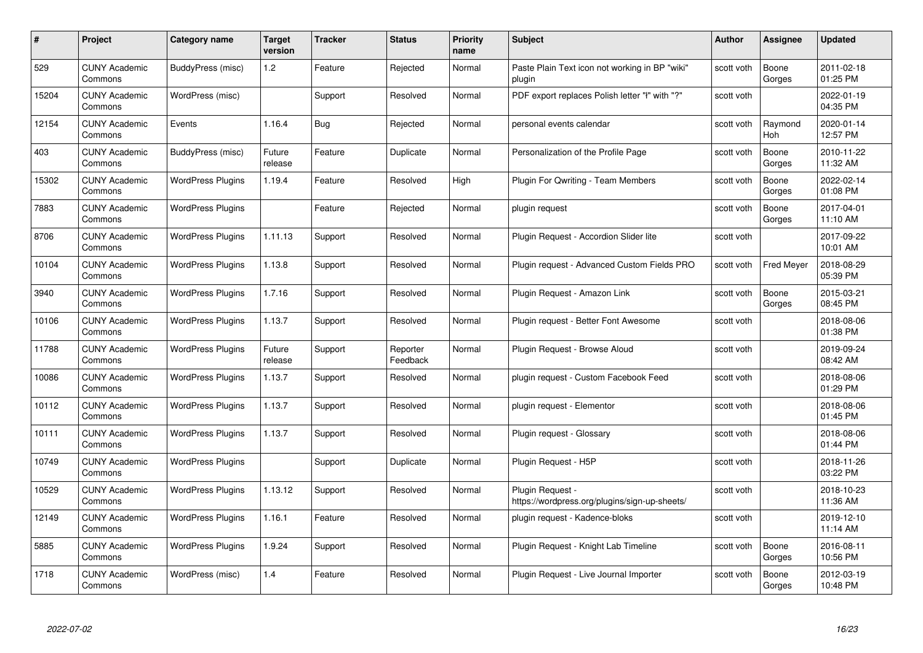| #     | Project                         | <b>Category name</b>     | Target<br>version | <b>Tracker</b> | <b>Status</b>        | <b>Priority</b><br>name | <b>Subject</b>                                                    | <b>Author</b> | <b>Assignee</b>   | <b>Updated</b>         |
|-------|---------------------------------|--------------------------|-------------------|----------------|----------------------|-------------------------|-------------------------------------------------------------------|---------------|-------------------|------------------------|
| 529   | <b>CUNY Academic</b><br>Commons | BuddyPress (misc)        | 1.2               | Feature        | Rejected             | Normal                  | Paste Plain Text icon not working in BP "wiki"<br>plugin          | scott voth    | Boone<br>Gorges   | 2011-02-18<br>01:25 PM |
| 15204 | <b>CUNY Academic</b><br>Commons | WordPress (misc)         |                   | Support        | Resolved             | Normal                  | PDF export replaces Polish letter "ł" with "?"                    | scott voth    |                   | 2022-01-19<br>04:35 PM |
| 12154 | <b>CUNY Academic</b><br>Commons | Events                   | 1.16.4            | Bug            | Rejected             | Normal                  | personal events calendar                                          | scott voth    | Raymond<br>Hoh    | 2020-01-14<br>12:57 PM |
| 403   | <b>CUNY Academic</b><br>Commons | BuddyPress (misc)        | Future<br>release | Feature        | Duplicate            | Normal                  | Personalization of the Profile Page                               | scott voth    | Boone<br>Gorges   | 2010-11-22<br>11:32 AM |
| 15302 | <b>CUNY Academic</b><br>Commons | <b>WordPress Plugins</b> | 1.19.4            | Feature        | Resolved             | High                    | <b>Plugin For Qwriting - Team Members</b>                         | scott voth    | Boone<br>Gorges   | 2022-02-14<br>01:08 PM |
| 7883  | <b>CUNY Academic</b><br>Commons | <b>WordPress Plugins</b> |                   | Feature        | Rejected             | Normal                  | plugin request                                                    | scott voth    | Boone<br>Gorges   | 2017-04-01<br>11:10 AM |
| 8706  | <b>CUNY Academic</b><br>Commons | <b>WordPress Plugins</b> | 1.11.13           | Support        | Resolved             | Normal                  | Plugin Request - Accordion Slider lite                            | scott voth    |                   | 2017-09-22<br>10:01 AM |
| 10104 | <b>CUNY Academic</b><br>Commons | <b>WordPress Plugins</b> | 1.13.8            | Support        | Resolved             | Normal                  | Plugin request - Advanced Custom Fields PRO                       | scott voth    | <b>Fred Meyer</b> | 2018-08-29<br>05:39 PM |
| 3940  | <b>CUNY Academic</b><br>Commons | <b>WordPress Plugins</b> | 1.7.16            | Support        | Resolved             | Normal                  | Plugin Request - Amazon Link                                      | scott voth    | Boone<br>Gorges   | 2015-03-21<br>08:45 PM |
| 10106 | <b>CUNY Academic</b><br>Commons | <b>WordPress Plugins</b> | 1.13.7            | Support        | Resolved             | Normal                  | Plugin reguest - Better Font Awesome                              | scott voth    |                   | 2018-08-06<br>01:38 PM |
| 11788 | CUNY Academic<br>Commons        | <b>WordPress Plugins</b> | Future<br>release | Support        | Reporter<br>Feedback | Normal                  | Plugin Request - Browse Aloud                                     | scott voth    |                   | 2019-09-24<br>08:42 AM |
| 10086 | <b>CUNY Academic</b><br>Commons | <b>WordPress Plugins</b> | 1.13.7            | Support        | Resolved             | Normal                  | plugin request - Custom Facebook Feed                             | scott voth    |                   | 2018-08-06<br>01:29 PM |
| 10112 | <b>CUNY Academic</b><br>Commons | <b>WordPress Plugins</b> | 1.13.7            | Support        | Resolved             | Normal                  | plugin request - Elementor                                        | scott voth    |                   | 2018-08-06<br>01:45 PM |
| 10111 | <b>CUNY Academic</b><br>Commons | <b>WordPress Plugins</b> | 1.13.7            | Support        | Resolved             | Normal                  | Plugin request - Glossary                                         | scott voth    |                   | 2018-08-06<br>01:44 PM |
| 10749 | <b>CUNY Academic</b><br>Commons | <b>WordPress Plugins</b> |                   | Support        | Duplicate            | Normal                  | Plugin Request - H5P                                              | scott voth    |                   | 2018-11-26<br>03:22 PM |
| 10529 | <b>CUNY Academic</b><br>Commons | <b>WordPress Plugins</b> | 1.13.12           | Support        | Resolved             | Normal                  | Plugin Request -<br>https://wordpress.org/plugins/sign-up-sheets/ | scott voth    |                   | 2018-10-23<br>11:36 AM |
| 12149 | <b>CUNY Academic</b><br>Commons | <b>WordPress Plugins</b> | 1.16.1            | Feature        | Resolved             | Normal                  | plugin request - Kadence-bloks                                    | scott voth    |                   | 2019-12-10<br>11:14 AM |
| 5885  | <b>CUNY Academic</b><br>Commons | <b>WordPress Plugins</b> | 1.9.24            | Support        | Resolved             | Normal                  | Plugin Request - Knight Lab Timeline                              | scott voth    | Boone<br>Gorges   | 2016-08-11<br>10:56 PM |
| 1718  | CUNY Academic<br>Commons        | WordPress (misc)         | 1.4               | Feature        | Resolved             | Normal                  | Plugin Request - Live Journal Importer                            | scott voth    | Boone<br>Gorges   | 2012-03-19<br>10:48 PM |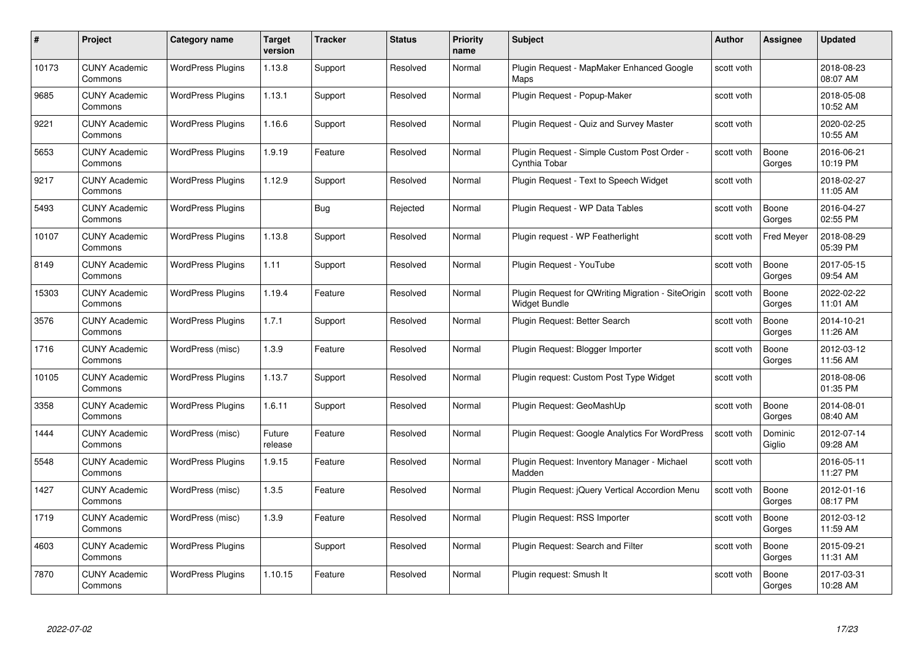| #     | Project                         | Category name            | Target<br>version | <b>Tracker</b> | <b>Status</b> | <b>Priority</b><br>name | <b>Subject</b>                                                             | <b>Author</b> | <b>Assignee</b>   | <b>Updated</b>         |
|-------|---------------------------------|--------------------------|-------------------|----------------|---------------|-------------------------|----------------------------------------------------------------------------|---------------|-------------------|------------------------|
| 10173 | <b>CUNY Academic</b><br>Commons | <b>WordPress Plugins</b> | 1.13.8            | Support        | Resolved      | Normal                  | Plugin Request - MapMaker Enhanced Google<br>Maps                          | scott voth    |                   | 2018-08-23<br>08:07 AM |
| 9685  | <b>CUNY Academic</b><br>Commons | <b>WordPress Plugins</b> | 1.13.1            | Support        | Resolved      | Normal                  | Plugin Request - Popup-Maker                                               | scott voth    |                   | 2018-05-08<br>10:52 AM |
| 9221  | <b>CUNY Academic</b><br>Commons | <b>WordPress Plugins</b> | 1.16.6            | Support        | Resolved      | Normal                  | Plugin Request - Quiz and Survey Master                                    | scott voth    |                   | 2020-02-25<br>10:55 AM |
| 5653  | <b>CUNY Academic</b><br>Commons | <b>WordPress Plugins</b> | 1.9.19            | Feature        | Resolved      | Normal                  | Plugin Request - Simple Custom Post Order -<br>Cynthia Tobar               | scott voth    | Boone<br>Gorges   | 2016-06-21<br>10:19 PM |
| 9217  | <b>CUNY Academic</b><br>Commons | <b>WordPress Plugins</b> | 1.12.9            | Support        | Resolved      | Normal                  | Plugin Request - Text to Speech Widget                                     | scott voth    |                   | 2018-02-27<br>11:05 AM |
| 5493  | <b>CUNY Academic</b><br>Commons | <b>WordPress Plugins</b> |                   | <b>Bug</b>     | Rejected      | Normal                  | Plugin Request - WP Data Tables                                            | scott voth    | Boone<br>Gorges   | 2016-04-27<br>02:55 PM |
| 10107 | <b>CUNY Academic</b><br>Commons | <b>WordPress Plugins</b> | 1.13.8            | Support        | Resolved      | Normal                  | Plugin request - WP Featherlight                                           | scott voth    | <b>Fred Meyer</b> | 2018-08-29<br>05:39 PM |
| 8149  | <b>CUNY Academic</b><br>Commons | <b>WordPress Plugins</b> | 1.11              | Support        | Resolved      | Normal                  | Plugin Request - YouTube                                                   | scott voth    | Boone<br>Gorges   | 2017-05-15<br>09:54 AM |
| 15303 | <b>CUNY Academic</b><br>Commons | <b>WordPress Plugins</b> | 1.19.4            | Feature        | Resolved      | Normal                  | Plugin Request for QWriting Migration - SiteOrigin<br><b>Widget Bundle</b> | scott voth    | Boone<br>Gorges   | 2022-02-22<br>11:01 AM |
| 3576  | <b>CUNY Academic</b><br>Commons | <b>WordPress Plugins</b> | 1.7.1             | Support        | Resolved      | Normal                  | Plugin Request: Better Search                                              | scott voth    | Boone<br>Gorges   | 2014-10-21<br>11:26 AM |
| 1716  | <b>CUNY Academic</b><br>Commons | WordPress (misc)         | 1.3.9             | Feature        | Resolved      | Normal                  | Plugin Request: Blogger Importer                                           | scott voth    | Boone<br>Gorges   | 2012-03-12<br>11:56 AM |
| 10105 | <b>CUNY Academic</b><br>Commons | <b>WordPress Plugins</b> | 1.13.7            | Support        | Resolved      | Normal                  | Plugin request: Custom Post Type Widget                                    | scott voth    |                   | 2018-08-06<br>01:35 PM |
| 3358  | <b>CUNY Academic</b><br>Commons | <b>WordPress Plugins</b> | 1.6.11            | Support        | Resolved      | Normal                  | Plugin Request: GeoMashUp                                                  | scott voth    | Boone<br>Gorges   | 2014-08-01<br>08:40 AM |
| 1444  | <b>CUNY Academic</b><br>Commons | WordPress (misc)         | Future<br>release | Feature        | Resolved      | Normal                  | Plugin Request: Google Analytics For WordPress                             | scott voth    | Dominic<br>Giglio | 2012-07-14<br>09:28 AM |
| 5548  | <b>CUNY Academic</b><br>Commons | <b>WordPress Plugins</b> | 1.9.15            | Feature        | Resolved      | Normal                  | Plugin Request: Inventory Manager - Michael<br>Madden                      | scott voth    |                   | 2016-05-11<br>11:27 PM |
| 1427  | <b>CUNY Academic</b><br>Commons | WordPress (misc)         | 1.3.5             | Feature        | Resolved      | Normal                  | Plugin Request: jQuery Vertical Accordion Menu                             | scott voth    | Boone<br>Gorges   | 2012-01-16<br>08:17 PM |
| 1719  | <b>CUNY Academic</b><br>Commons | WordPress (misc)         | 1.3.9             | Feature        | Resolved      | Normal                  | Plugin Request: RSS Importer                                               | scott voth    | Boone<br>Gorges   | 2012-03-12<br>11:59 AM |
| 4603  | <b>CUNY Academic</b><br>Commons | <b>WordPress Plugins</b> |                   | Support        | Resolved      | Normal                  | Plugin Request: Search and Filter                                          | scott voth    | Boone<br>Gorges   | 2015-09-21<br>11:31 AM |
| 7870  | CUNY Academic<br>Commons        | <b>WordPress Plugins</b> | 1.10.15           | Feature        | Resolved      | Normal                  | Plugin request: Smush It                                                   | scott voth    | Boone<br>Gorges   | 2017-03-31<br>10:28 AM |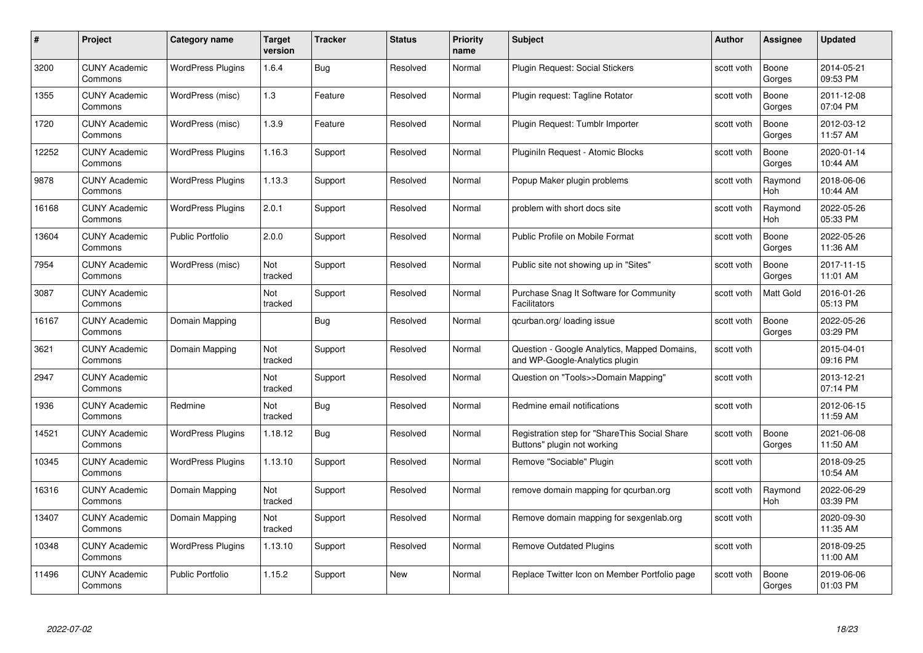| #     | Project                         | <b>Category name</b>     | Target<br>version | <b>Tracker</b> | <b>Status</b> | <b>Priority</b><br>name | <b>Subject</b>                                                                 | <b>Author</b> | <b>Assignee</b>  | <b>Updated</b>         |
|-------|---------------------------------|--------------------------|-------------------|----------------|---------------|-------------------------|--------------------------------------------------------------------------------|---------------|------------------|------------------------|
| 3200  | <b>CUNY Academic</b><br>Commons | <b>WordPress Plugins</b> | 1.6.4             | Bug            | Resolved      | Normal                  | Plugin Request: Social Stickers                                                | scott voth    | Boone<br>Gorges  | 2014-05-21<br>09:53 PM |
| 1355  | <b>CUNY Academic</b><br>Commons | WordPress (misc)         | 1.3               | Feature        | Resolved      | Normal                  | Plugin request: Tagline Rotator                                                | scott voth    | Boone<br>Gorges  | 2011-12-08<br>07:04 PM |
| 1720  | <b>CUNY Academic</b><br>Commons | WordPress (misc)         | 1.3.9             | Feature        | Resolved      | Normal                  | Plugin Request: Tumblr Importer                                                | scott voth    | Boone<br>Gorges  | 2012-03-12<br>11:57 AM |
| 12252 | <b>CUNY Academic</b><br>Commons | <b>WordPress Plugins</b> | 1.16.3            | Support        | Resolved      | Normal                  | Pluginiln Request - Atomic Blocks                                              | scott voth    | Boone<br>Gorges  | 2020-01-14<br>10:44 AM |
| 9878  | CUNY Academic<br>Commons        | <b>WordPress Plugins</b> | 1.13.3            | Support        | Resolved      | Normal                  | Popup Maker plugin problems                                                    | scott voth    | Raymond<br>Hoh   | 2018-06-06<br>10:44 AM |
| 16168 | <b>CUNY Academic</b><br>Commons | <b>WordPress Plugins</b> | 2.0.1             | Support        | Resolved      | Normal                  | problem with short docs site                                                   | scott voth    | Raymond<br>Hoh   | 2022-05-26<br>05:33 PM |
| 13604 | <b>CUNY Academic</b><br>Commons | <b>Public Portfolio</b>  | 2.0.0             | Support        | Resolved      | Normal                  | Public Profile on Mobile Format                                                | scott voth    | Boone<br>Gorges  | 2022-05-26<br>11:36 AM |
| 7954  | <b>CUNY Academic</b><br>Commons | WordPress (misc)         | Not<br>tracked    | Support        | Resolved      | Normal                  | Public site not showing up in "Sites"                                          | scott voth    | Boone<br>Gorges  | 2017-11-15<br>11:01 AM |
| 3087  | <b>CUNY Academic</b><br>Commons |                          | Not<br>tracked    | Support        | Resolved      | Normal                  | Purchase Snag It Software for Community<br><b>Facilitators</b>                 | scott voth    | <b>Matt Gold</b> | 2016-01-26<br>05:13 PM |
| 16167 | <b>CUNY Academic</b><br>Commons | Domain Mapping           |                   | Bug            | Resolved      | Normal                  | qcurban.org/loading issue                                                      | scott voth    | Boone<br>Gorges  | 2022-05-26<br>03:29 PM |
| 3621  | CUNY Academic<br>Commons        | Domain Mapping           | Not<br>tracked    | Support        | Resolved      | Normal                  | Question - Google Analytics, Mapped Domains,<br>and WP-Google-Analytics plugin | scott voth    |                  | 2015-04-01<br>09:16 PM |
| 2947  | <b>CUNY Academic</b><br>Commons |                          | Not<br>tracked    | Support        | Resolved      | Normal                  | Question on "Tools>>Domain Mapping"                                            | scott voth    |                  | 2013-12-21<br>07:14 PM |
| 1936  | <b>CUNY Academic</b><br>Commons | Redmine                  | Not<br>tracked    | Bug            | Resolved      | Normal                  | Redmine email notifications                                                    | scott voth    |                  | 2012-06-15<br>11:59 AM |
| 14521 | <b>CUNY Academic</b><br>Commons | <b>WordPress Plugins</b> | 1.18.12           | <b>Bug</b>     | Resolved      | Normal                  | Registration step for "ShareThis Social Share<br>Buttons" plugin not working   | scott voth    | Boone<br>Gorges  | 2021-06-08<br>11:50 AM |
| 10345 | <b>CUNY Academic</b><br>Commons | <b>WordPress Plugins</b> | 1.13.10           | Support        | Resolved      | Normal                  | Remove "Sociable" Plugin                                                       | scott voth    |                  | 2018-09-25<br>10:54 AM |
| 16316 | <b>CUNY Academic</b><br>Commons | Domain Mapping           | Not<br>tracked    | Support        | Resolved      | Normal                  | remove domain mapping for gcurban.org                                          | scott voth    | Raymond<br>Hoh   | 2022-06-29<br>03:39 PM |
| 13407 | <b>CUNY Academic</b><br>Commons | Domain Mapping           | Not<br>tracked    | Support        | Resolved      | Normal                  | Remove domain mapping for sexgenlab.org                                        | scott voth    |                  | 2020-09-30<br>11:35 AM |
| 10348 | <b>CUNY Academic</b><br>Commons | <b>WordPress Plugins</b> | 1.13.10           | Support        | Resolved      | Normal                  | <b>Remove Outdated Plugins</b>                                                 | scott voth    |                  | 2018-09-25<br>11:00 AM |
| 11496 | CUNY Academic<br>Commons        | <b>Public Portfolio</b>  | 1.15.2            | Support        | <b>New</b>    | Normal                  | Replace Twitter Icon on Member Portfolio page                                  | scott voth    | Boone<br>Gorges  | 2019-06-06<br>01:03 PM |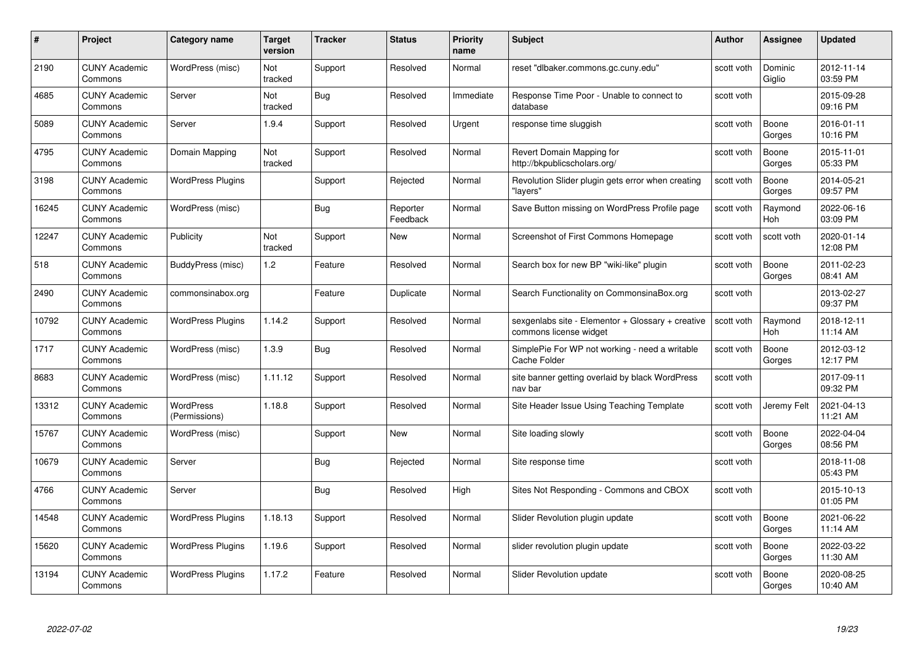| #     | Project                         | <b>Category name</b>       | Target<br>version     | <b>Tracker</b> | <b>Status</b>        | <b>Priority</b><br>name | <b>Subject</b>                                                              | Author     | Assignee              | <b>Updated</b>         |
|-------|---------------------------------|----------------------------|-----------------------|----------------|----------------------|-------------------------|-----------------------------------------------------------------------------|------------|-----------------------|------------------------|
| 2190  | <b>CUNY Academic</b><br>Commons | WordPress (misc)           | Not<br>tracked        | Support        | Resolved             | Normal                  | reset "dlbaker.commons.gc.cuny.edu"                                         | scott voth | Dominic<br>Giglio     | 2012-11-14<br>03:59 PM |
| 4685  | <b>CUNY Academic</b><br>Commons | Server                     | Not<br>tracked        | <b>Bug</b>     | Resolved             | Immediate               | Response Time Poor - Unable to connect to<br>database                       | scott voth |                       | 2015-09-28<br>09:16 PM |
| 5089  | <b>CUNY Academic</b><br>Commons | Server                     | 1.9.4                 | Support        | Resolved             | Urgent                  | response time sluggish                                                      | scott voth | Boone<br>Gorges       | 2016-01-11<br>10:16 PM |
| 4795  | <b>CUNY Academic</b><br>Commons | Domain Mapping             | <b>Not</b><br>tracked | Support        | Resolved             | Normal                  | Revert Domain Mapping for<br>http://bkpublicscholars.org/                   | scott voth | Boone<br>Gorges       | 2015-11-01<br>05:33 PM |
| 3198  | <b>CUNY Academic</b><br>Commons | <b>WordPress Plugins</b>   |                       | Support        | Rejected             | Normal                  | Revolution Slider plugin gets error when creating<br>"lavers'               | scott voth | Boone<br>Gorges       | 2014-05-21<br>09:57 PM |
| 16245 | <b>CUNY Academic</b><br>Commons | WordPress (misc)           |                       | <b>Bug</b>     | Reporter<br>Feedback | Normal                  | Save Button missing on WordPress Profile page                               | scott voth | Raymond<br><b>Hoh</b> | 2022-06-16<br>03:09 PM |
| 12247 | <b>CUNY Academic</b><br>Commons | Publicity                  | Not<br>tracked        | Support        | New                  | Normal                  | Screenshot of First Commons Homepage                                        | scott voth | scott voth            | 2020-01-14<br>12:08 PM |
| 518   | <b>CUNY Academic</b><br>Commons | BuddyPress (misc)          | 1.2                   | Feature        | Resolved             | Normal                  | Search box for new BP "wiki-like" plugin                                    | scott voth | Boone<br>Gorges       | 2011-02-23<br>08:41 AM |
| 2490  | <b>CUNY Academic</b><br>Commons | commonsinabox.org          |                       | Feature        | Duplicate            | Normal                  | Search Functionality on CommonsinaBox.org                                   | scott voth |                       | 2013-02-27<br>09:37 PM |
| 10792 | <b>CUNY Academic</b><br>Commons | <b>WordPress Plugins</b>   | 1.14.2                | Support        | Resolved             | Normal                  | sexgenlabs site - Elementor + Glossary + creative<br>commons license widget | scott voth | Raymond<br>Hoh        | 2018-12-11<br>11:14 AM |
| 1717  | <b>CUNY Academic</b><br>Commons | WordPress (misc)           | 1.3.9                 | <b>Bug</b>     | Resolved             | Normal                  | SimplePie For WP not working - need a writable<br><b>Cache Folder</b>       | scott voth | Boone<br>Gorges       | 2012-03-12<br>12:17 PM |
| 8683  | <b>CUNY Academic</b><br>Commons | WordPress (misc)           | 1.11.12               | Support        | Resolved             | Normal                  | site banner getting overlaid by black WordPress<br>nav bar                  | scott voth |                       | 2017-09-11<br>09:32 PM |
| 13312 | <b>CUNY Academic</b><br>Commons | WordPress<br>(Permissions) | 1.18.8                | Support        | Resolved             | Normal                  | Site Header Issue Using Teaching Template                                   | scott voth | Jeremy Felt           | 2021-04-13<br>11:21 AM |
| 15767 | <b>CUNY Academic</b><br>Commons | WordPress (misc)           |                       | Support        | New                  | Normal                  | Site loading slowly                                                         | scott voth | Boone<br>Gorges       | 2022-04-04<br>08:56 PM |
| 10679 | <b>CUNY Academic</b><br>Commons | Server                     |                       | Bug            | Rejected             | Normal                  | Site response time                                                          | scott voth |                       | 2018-11-08<br>05:43 PM |
| 4766  | <b>CUNY Academic</b><br>Commons | Server                     |                       | Bug            | Resolved             | High                    | Sites Not Responding - Commons and CBOX                                     | scott voth |                       | 2015-10-13<br>01:05 PM |
| 14548 | <b>CUNY Academic</b><br>Commons | <b>WordPress Plugins</b>   | 1.18.13               | Support        | Resolved             | Normal                  | Slider Revolution plugin update                                             | scott voth | Boone<br>Gorges       | 2021-06-22<br>11:14 AM |
| 15620 | <b>CUNY Academic</b><br>Commons | <b>WordPress Plugins</b>   | 1.19.6                | Support        | Resolved             | Normal                  | slider revolution plugin update                                             | scott voth | Boone<br>Gorges       | 2022-03-22<br>11:30 AM |
| 13194 | CUNY Academic<br>Commons        | <b>WordPress Plugins</b>   | 1.17.2                | Feature        | Resolved             | Normal                  | Slider Revolution update                                                    | scott voth | Boone<br>Gorges       | 2020-08-25<br>10:40 AM |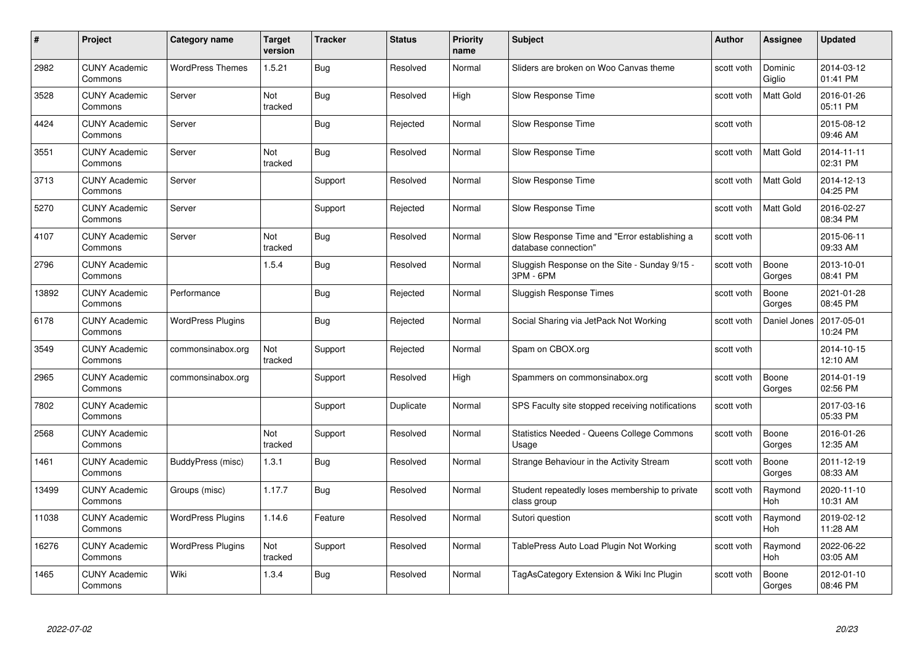| #     | Project                         | <b>Category name</b>     | Target<br>version | <b>Tracker</b> | <b>Status</b> | <b>Priority</b><br>name | <b>Subject</b>                                                       | <b>Author</b> | <b>Assignee</b>       | <b>Updated</b>         |
|-------|---------------------------------|--------------------------|-------------------|----------------|---------------|-------------------------|----------------------------------------------------------------------|---------------|-----------------------|------------------------|
| 2982  | <b>CUNY Academic</b><br>Commons | <b>WordPress Themes</b>  | 1.5.21            | <b>Bug</b>     | Resolved      | Normal                  | Sliders are broken on Woo Canvas theme                               | scott voth    | Dominic<br>Giglio     | 2014-03-12<br>01:41 PM |
| 3528  | <b>CUNY Academic</b><br>Commons | Server                   | Not<br>tracked    | Bug            | Resolved      | High                    | Slow Response Time                                                   | scott voth    | <b>Matt Gold</b>      | 2016-01-26<br>05:11 PM |
| 4424  | <b>CUNY Academic</b><br>Commons | Server                   |                   | Bug            | Rejected      | Normal                  | Slow Response Time                                                   | scott voth    |                       | 2015-08-12<br>09:46 AM |
| 3551  | <b>CUNY Academic</b><br>Commons | Server                   | Not<br>tracked    | Bug            | Resolved      | Normal                  | Slow Response Time                                                   | scott voth    | Matt Gold             | 2014-11-11<br>02:31 PM |
| 3713  | <b>CUNY Academic</b><br>Commons | Server                   |                   | Support        | Resolved      | Normal                  | Slow Response Time                                                   | scott voth    | <b>Matt Gold</b>      | 2014-12-13<br>04:25 PM |
| 5270  | <b>CUNY Academic</b><br>Commons | Server                   |                   | Support        | Rejected      | Normal                  | Slow Response Time                                                   | scott voth    | Matt Gold             | 2016-02-27<br>08:34 PM |
| 4107  | <b>CUNY Academic</b><br>Commons | Server                   | Not<br>tracked    | Bug            | Resolved      | Normal                  | Slow Response Time and "Error establishing a<br>database connection" | scott voth    |                       | 2015-06-11<br>09:33 AM |
| 2796  | <b>CUNY Academic</b><br>Commons |                          | 1.5.4             | <b>Bug</b>     | Resolved      | Normal                  | Sluggish Response on the Site - Sunday 9/15 -<br>3PM - 6PM           | scott voth    | Boone<br>Gorges       | 2013-10-01<br>08:41 PM |
| 13892 | <b>CUNY Academic</b><br>Commons | Performance              |                   | Bug            | Rejected      | Normal                  | <b>Sluggish Response Times</b>                                       | scott voth    | Boone<br>Gorges       | 2021-01-28<br>08:45 PM |
| 6178  | <b>CUNY Academic</b><br>Commons | <b>WordPress Plugins</b> |                   | Bug            | Rejected      | Normal                  | Social Sharing via JetPack Not Working                               | scott voth    | Daniel Jones          | 2017-05-01<br>10:24 PM |
| 3549  | <b>CUNY Academic</b><br>Commons | commonsinabox.org        | Not<br>tracked    | Support        | Rejected      | Normal                  | Spam on CBOX.org                                                     | scott voth    |                       | 2014-10-15<br>12:10 AM |
| 2965  | <b>CUNY Academic</b><br>Commons | commonsinabox.org        |                   | Support        | Resolved      | High                    | Spammers on commonsinabox.org                                        | scott voth    | Boone<br>Gorges       | 2014-01-19<br>02:56 PM |
| 7802  | <b>CUNY Academic</b><br>Commons |                          |                   | Support        | Duplicate     | Normal                  | SPS Faculty site stopped receiving notifications                     | scott voth    |                       | 2017-03-16<br>05:33 PM |
| 2568  | <b>CUNY Academic</b><br>Commons |                          | Not<br>tracked    | Support        | Resolved      | Normal                  | Statistics Needed - Queens College Commons<br>Usage                  | scott voth    | Boone<br>Gorges       | 2016-01-26<br>12:35 AM |
| 1461  | <b>CUNY Academic</b><br>Commons | BuddyPress (misc)        | 1.3.1             | Bug            | Resolved      | Normal                  | Strange Behaviour in the Activity Stream                             | scott voth    | Boone<br>Gorges       | 2011-12-19<br>08:33 AM |
| 13499 | <b>CUNY Academic</b><br>Commons | Groups (misc)            | 1.17.7            | <b>Bug</b>     | Resolved      | Normal                  | Student repeatedly loses membership to private<br>class group        | scott voth    | Raymond<br>Hoh        | 2020-11-10<br>10:31 AM |
| 11038 | <b>CUNY Academic</b><br>Commons | <b>WordPress Plugins</b> | 1.14.6            | Feature        | Resolved      | Normal                  | Sutori question                                                      | scott voth    | Raymond<br><b>Hoh</b> | 2019-02-12<br>11:28 AM |
| 16276 | <b>CUNY Academic</b><br>Commons | <b>WordPress Plugins</b> | Not<br>tracked    | Support        | Resolved      | Normal                  | TablePress Auto Load Plugin Not Working                              | scott voth    | Raymond<br>Hoh        | 2022-06-22<br>03:05 AM |
| 1465  | <b>CUNY Academic</b><br>Commons | Wiki                     | 1.3.4             | Bug            | Resolved      | Normal                  | TagAsCategory Extension & Wiki Inc Plugin                            | scott voth    | Boone<br>Gorges       | 2012-01-10<br>08:46 PM |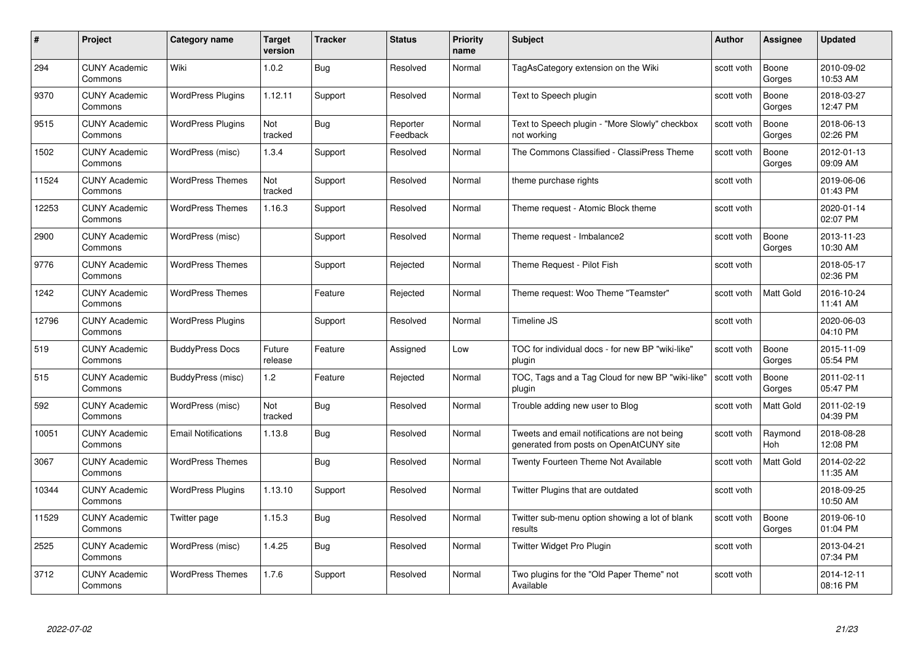| #     | Project                         | <b>Category name</b>       | Target<br>version | <b>Tracker</b> | <b>Status</b>        | <b>Priority</b><br>name | <b>Subject</b>                                                                          | <b>Author</b> | <b>Assignee</b>  | <b>Updated</b>         |
|-------|---------------------------------|----------------------------|-------------------|----------------|----------------------|-------------------------|-----------------------------------------------------------------------------------------|---------------|------------------|------------------------|
| 294   | <b>CUNY Academic</b><br>Commons | Wiki                       | 1.0.2             | <b>Bug</b>     | Resolved             | Normal                  | TagAsCategory extension on the Wiki                                                     | scott voth    | Boone<br>Gorges  | 2010-09-02<br>10:53 AM |
| 9370  | <b>CUNY Academic</b><br>Commons | <b>WordPress Plugins</b>   | 1.12.11           | Support        | Resolved             | Normal                  | Text to Speech plugin                                                                   | scott voth    | Boone<br>Gorges  | 2018-03-27<br>12:47 PM |
| 9515  | <b>CUNY Academic</b><br>Commons | <b>WordPress Plugins</b>   | Not<br>tracked    | Bug            | Reporter<br>Feedback | Normal                  | Text to Speech plugin - "More Slowly" checkbox<br>not working                           | scott voth    | Boone<br>Gorges  | 2018-06-13<br>02:26 PM |
| 1502  | <b>CUNY Academic</b><br>Commons | WordPress (misc)           | 1.3.4             | Support        | Resolved             | Normal                  | The Commons Classified - ClassiPress Theme                                              | scott voth    | Boone<br>Gorges  | 2012-01-13<br>09:09 AM |
| 11524 | <b>CUNY Academic</b><br>Commons | <b>WordPress Themes</b>    | Not<br>tracked    | Support        | Resolved             | Normal                  | theme purchase rights                                                                   | scott voth    |                  | 2019-06-06<br>01:43 PM |
| 12253 | <b>CUNY Academic</b><br>Commons | <b>WordPress Themes</b>    | 1.16.3            | Support        | Resolved             | Normal                  | Theme request - Atomic Block theme                                                      | scott voth    |                  | 2020-01-14<br>02:07 PM |
| 2900  | <b>CUNY Academic</b><br>Commons | WordPress (misc)           |                   | Support        | Resolved             | Normal                  | Theme request - Imbalance2                                                              | scott voth    | Boone<br>Gorges  | 2013-11-23<br>10:30 AM |
| 9776  | <b>CUNY Academic</b><br>Commons | <b>WordPress Themes</b>    |                   | Support        | Rejected             | Normal                  | Theme Request - Pilot Fish                                                              | scott voth    |                  | 2018-05-17<br>02:36 PM |
| 1242  | <b>CUNY Academic</b><br>Commons | <b>WordPress Themes</b>    |                   | Feature        | Rejected             | Normal                  | Theme request: Woo Theme "Teamster"                                                     | scott voth    | <b>Matt Gold</b> | 2016-10-24<br>11:41 AM |
| 12796 | <b>CUNY Academic</b><br>Commons | <b>WordPress Plugins</b>   |                   | Support        | Resolved             | Normal                  | Timeline JS                                                                             | scott voth    |                  | 2020-06-03<br>04:10 PM |
| 519   | <b>CUNY Academic</b><br>Commons | <b>BuddyPress Docs</b>     | Future<br>release | Feature        | Assigned             | Low                     | TOC for individual docs - for new BP "wiki-like"<br>plugin                              | scott voth    | Boone<br>Gorges  | 2015-11-09<br>05:54 PM |
| 515   | <b>CUNY Academic</b><br>Commons | BuddyPress (misc)          | 1.2               | Feature        | Rejected             | Normal                  | TOC, Tags and a Tag Cloud for new BP "wiki-like"<br>plugin                              | scott voth    | Boone<br>Gorges  | 2011-02-11<br>05:47 PM |
| 592   | <b>CUNY Academic</b><br>Commons | WordPress (misc)           | Not<br>tracked    | Bug            | Resolved             | Normal                  | Trouble adding new user to Blog                                                         | scott voth    | Matt Gold        | 2011-02-19<br>04:39 PM |
| 10051 | <b>CUNY Academic</b><br>Commons | <b>Email Notifications</b> | 1.13.8            | <b>Bug</b>     | Resolved             | Normal                  | Tweets and email notifications are not being<br>generated from posts on OpenAtCUNY site | scott voth    | Raymond<br>Hoh   | 2018-08-28<br>12:08 PM |
| 3067  | CUNY Academic<br>Commons        | <b>WordPress Themes</b>    |                   | Bug            | Resolved             | Normal                  | Twenty Fourteen Theme Not Available                                                     | scott voth    | Matt Gold        | 2014-02-22<br>11:35 AM |
| 10344 | <b>CUNY Academic</b><br>Commons | <b>WordPress Plugins</b>   | 1.13.10           | Support        | Resolved             | Normal                  | Twitter Plugins that are outdated                                                       | scott voth    |                  | 2018-09-25<br>10:50 AM |
| 11529 | <b>CUNY Academic</b><br>Commons | Twitter page               | 1.15.3            | Bug            | Resolved             | Normal                  | Twitter sub-menu option showing a lot of blank<br>results                               | scott voth    | Boone<br>Gorges  | 2019-06-10<br>01:04 PM |
| 2525  | <b>CUNY Academic</b><br>Commons | WordPress (misc)           | 1.4.25            | <b>Bug</b>     | Resolved             | Normal                  | Twitter Widget Pro Plugin                                                               | scott voth    |                  | 2013-04-21<br>07:34 PM |
| 3712  | CUNY Academic<br>Commons        | <b>WordPress Themes</b>    | 1.7.6             | Support        | Resolved             | Normal                  | Two plugins for the "Old Paper Theme" not<br>Available                                  | scott voth    |                  | 2014-12-11<br>08:16 PM |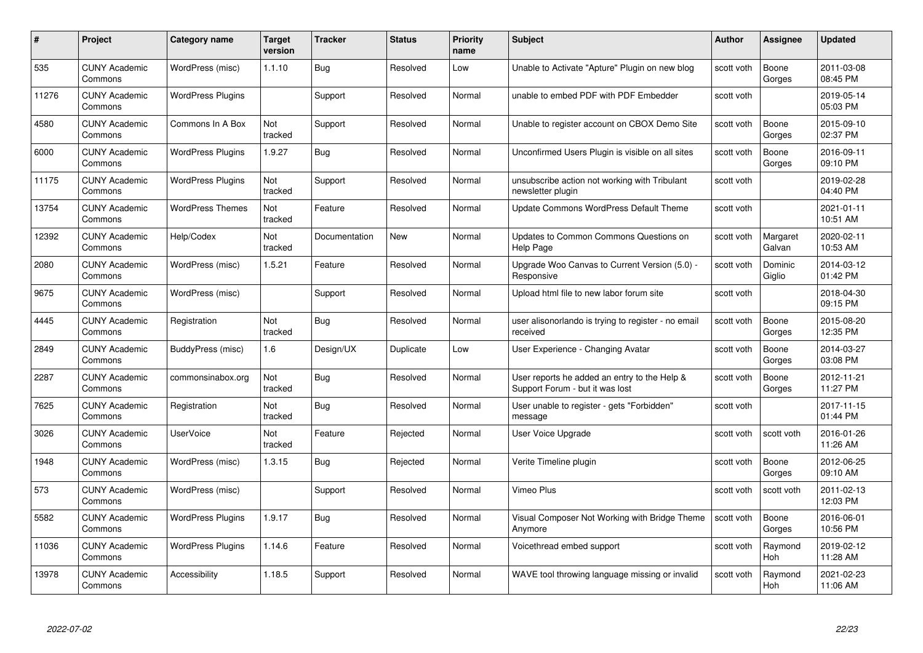| #     | Project                         | <b>Category name</b>     | Target<br>version | <b>Tracker</b> | <b>Status</b> | <b>Priority</b><br>name | <b>Subject</b>                                                                  | <b>Author</b> | <b>Assignee</b>    | <b>Updated</b>         |
|-------|---------------------------------|--------------------------|-------------------|----------------|---------------|-------------------------|---------------------------------------------------------------------------------|---------------|--------------------|------------------------|
| 535   | <b>CUNY Academic</b><br>Commons | WordPress (misc)         | 1.1.10            | <b>Bug</b>     | Resolved      | Low                     | Unable to Activate "Apture" Plugin on new blog                                  | scott voth    | Boone<br>Gorges    | 2011-03-08<br>08:45 PM |
| 11276 | <b>CUNY Academic</b><br>Commons | <b>WordPress Plugins</b> |                   | Support        | Resolved      | Normal                  | unable to embed PDF with PDF Embedder                                           | scott voth    |                    | 2019-05-14<br>05:03 PM |
| 4580  | <b>CUNY Academic</b><br>Commons | Commons In A Box         | Not<br>tracked    | Support        | Resolved      | Normal                  | Unable to register account on CBOX Demo Site                                    | scott voth    | Boone<br>Gorges    | 2015-09-10<br>02:37 PM |
| 6000  | <b>CUNY Academic</b><br>Commons | <b>WordPress Plugins</b> | 1.9.27            | Bug            | Resolved      | Normal                  | Unconfirmed Users Plugin is visible on all sites                                | scott voth    | Boone<br>Gorges    | 2016-09-11<br>09:10 PM |
| 11175 | <b>CUNY Academic</b><br>Commons | <b>WordPress Plugins</b> | Not<br>tracked    | Support        | Resolved      | Normal                  | unsubscribe action not working with Tribulant<br>newsletter plugin              | scott voth    |                    | 2019-02-28<br>04:40 PM |
| 13754 | <b>CUNY Academic</b><br>Commons | <b>WordPress Themes</b>  | Not<br>tracked    | Feature        | Resolved      | Normal                  | Update Commons WordPress Default Theme                                          | scott voth    |                    | 2021-01-11<br>10:51 AM |
| 12392 | <b>CUNY Academic</b><br>Commons | Help/Codex               | Not<br>tracked    | Documentation  | New           | Normal                  | Updates to Common Commons Questions on<br>Help Page                             | scott voth    | Margaret<br>Galvan | 2020-02-11<br>10:53 AM |
| 2080  | <b>CUNY Academic</b><br>Commons | WordPress (misc)         | 1.5.21            | Feature        | Resolved      | Normal                  | Upgrade Woo Canvas to Current Version (5.0) -<br>Responsive                     | scott voth    | Dominic<br>Giglio  | 2014-03-12<br>01:42 PM |
| 9675  | <b>CUNY Academic</b><br>Commons | WordPress (misc)         |                   | Support        | Resolved      | Normal                  | Upload html file to new labor forum site                                        | scott voth    |                    | 2018-04-30<br>09:15 PM |
| 4445  | <b>CUNY Academic</b><br>Commons | Registration             | Not<br>tracked    | Bug            | Resolved      | Normal                  | user alisonorlando is trying to register - no email<br>received                 | scott voth    | Boone<br>Gorges    | 2015-08-20<br>12:35 PM |
| 2849  | <b>CUNY Academic</b><br>Commons | BuddyPress (misc)        | 1.6               | Design/UX      | Duplicate     | Low                     | User Experience - Changing Avatar                                               | scott voth    | Boone<br>Gorges    | 2014-03-27<br>03:08 PM |
| 2287  | <b>CUNY Academic</b><br>Commons | commonsinabox.org        | Not<br>tracked    | Bug            | Resolved      | Normal                  | User reports he added an entry to the Help &<br>Support Forum - but it was lost | scott voth    | Boone<br>Gorges    | 2012-11-21<br>11:27 PM |
| 7625  | <b>CUNY Academic</b><br>Commons | Registration             | Not<br>tracked    | <b>Bug</b>     | Resolved      | Normal                  | User unable to register - gets "Forbidden"<br>message                           | scott voth    |                    | 2017-11-15<br>01:44 PM |
| 3026  | <b>CUNY Academic</b><br>Commons | <b>UserVoice</b>         | Not<br>tracked    | Feature        | Rejected      | Normal                  | User Voice Upgrade                                                              | scott voth    | scott voth         | 2016-01-26<br>11:26 AM |
| 1948  | <b>CUNY Academic</b><br>Commons | WordPress (misc)         | 1.3.15            | Bug            | Rejected      | Normal                  | Verite Timeline plugin                                                          | scott voth    | Boone<br>Gorges    | 2012-06-25<br>09:10 AM |
| 573   | <b>CUNY Academic</b><br>Commons | WordPress (misc)         |                   | Support        | Resolved      | Normal                  | Vimeo Plus                                                                      | scott voth    | scott voth         | 2011-02-13<br>12:03 PM |
| 5582  | <b>CUNY Academic</b><br>Commons | <b>WordPress Plugins</b> | 1.9.17            | Bug            | Resolved      | Normal                  | Visual Composer Not Working with Bridge Theme<br>Anymore                        | scott voth    | Boone<br>Gorges    | 2016-06-01<br>10:56 PM |
| 11036 | <b>CUNY Academic</b><br>Commons | <b>WordPress Plugins</b> | 1.14.6            | Feature        | Resolved      | Normal                  | Voicethread embed support                                                       | scott voth    | Raymond<br>Hoh     | 2019-02-12<br>11:28 AM |
| 13978 | CUNY Academic<br>Commons        | Accessibility            | 1.18.5            | Support        | Resolved      | Normal                  | WAVE tool throwing language missing or invalid                                  | scott voth    | Raymond<br>Hoh     | 2021-02-23<br>11:06 AM |